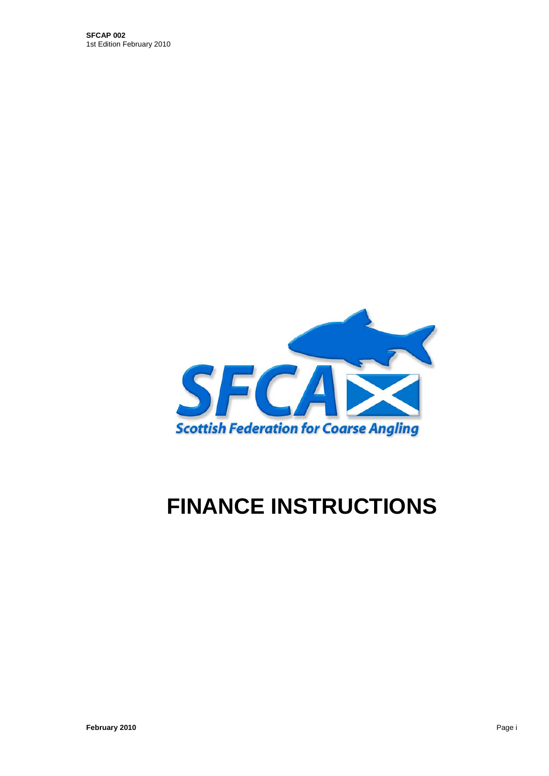

# **FINANCE INSTRUCTIONS**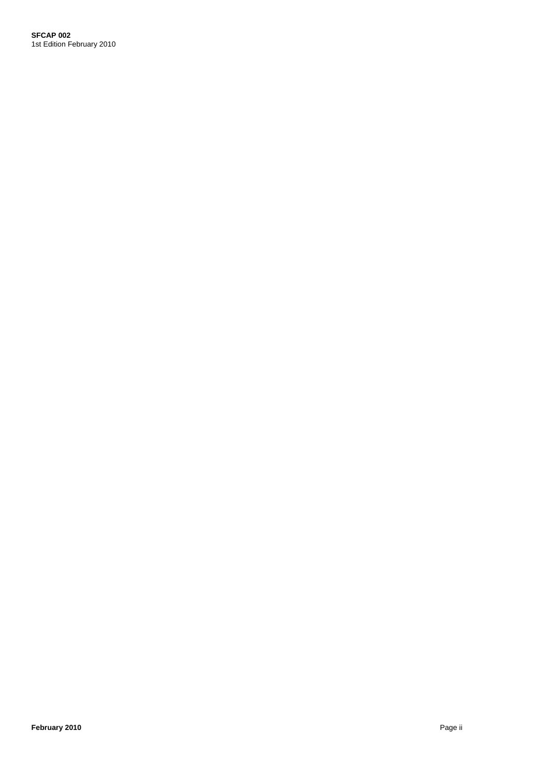**SFCAP 002**  1st Edition February 2010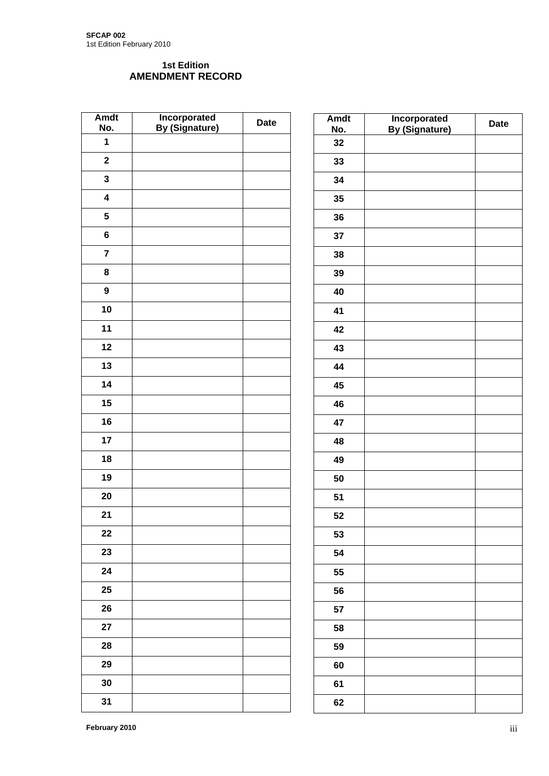#### **1st Edition AMENDMENT RECORD**

| Amdt<br>No.             | Incorporated<br>By (Signature) | <b>Date</b> |
|-------------------------|--------------------------------|-------------|
| $\mathbf 1$             |                                |             |
| $\overline{\mathbf{2}}$ |                                |             |
| 3                       |                                |             |
| $\overline{\mathbf{4}}$ |                                |             |
| 5                       |                                |             |
| 6                       |                                |             |
| 7                       |                                |             |
| 8                       |                                |             |
| 9                       |                                |             |
| 10                      |                                |             |
| 11                      |                                |             |
| 12                      |                                |             |
| 13                      |                                |             |
| 14                      |                                |             |
| 15                      |                                |             |
| 16                      |                                |             |
| 17                      |                                |             |
| 18                      |                                |             |
| 19                      |                                |             |
| 20                      |                                |             |
| 21                      |                                |             |
| 22                      |                                |             |
| 23                      |                                |             |
| 24                      |                                |             |
| 25                      |                                |             |
| 26                      |                                |             |
| 27                      |                                |             |
| 28                      |                                |             |
| 29                      |                                |             |
| 30                      |                                |             |
| 31                      |                                |             |

| Amdt<br>No. | Incorporated<br>By (Signature) | Date |
|-------------|--------------------------------|------|
| 32          |                                |      |
| 33          |                                |      |
| 34          |                                |      |
| 35          |                                |      |
| 36          |                                |      |
| 37          |                                |      |
| 38          |                                |      |
| 39          |                                |      |
| 40          |                                |      |
| 41          |                                |      |
| 42          |                                |      |
| 43          |                                |      |
| 44          |                                |      |
| 45          |                                |      |
| 46          |                                |      |
| 47          |                                |      |
| 48          |                                |      |
| 49          |                                |      |
| 50          |                                |      |
| 51          |                                |      |
| 52          |                                |      |
| 53          |                                |      |
| 54          |                                |      |
| 55          |                                |      |
| 56          |                                |      |
| 57          |                                |      |
| 58          |                                |      |
| 59          |                                |      |
| 60          |                                |      |
| 61          |                                |      |
| 62          |                                |      |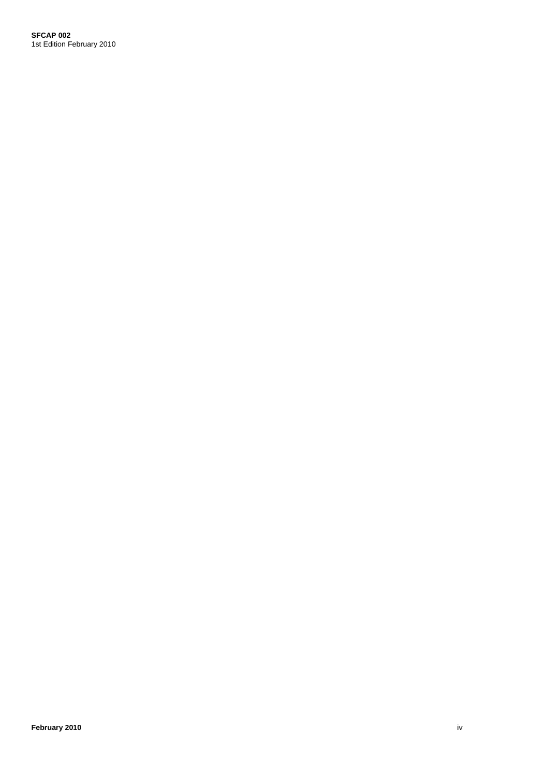**SFCAP 002**  1st Edition February 2010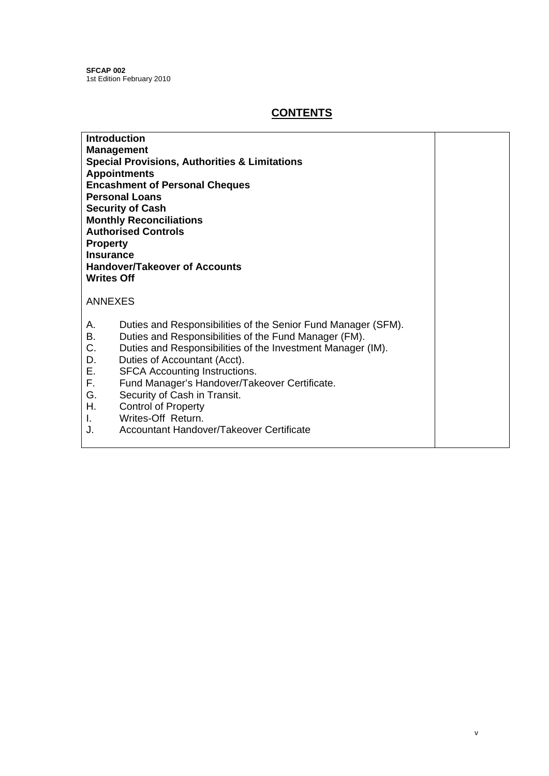### **CONTENTS**

| <b>Introduction</b><br><b>Management</b><br><b>Special Provisions, Authorities &amp; Limitations</b><br><b>Appointments</b><br><b>Encashment of Personal Cheques</b><br><b>Personal Loans</b><br><b>Security of Cash</b><br><b>Monthly Reconciliations</b><br><b>Authorised Controls</b><br><b>Property</b><br><b>Insurance</b><br><b>Handover/Takeover of Accounts</b><br><b>Writes Off</b>                                                                                                                                 |  |
|------------------------------------------------------------------------------------------------------------------------------------------------------------------------------------------------------------------------------------------------------------------------------------------------------------------------------------------------------------------------------------------------------------------------------------------------------------------------------------------------------------------------------|--|
| <b>ANNEXES</b><br>Duties and Responsibilities of the Senior Fund Manager (SFM).<br>Α.<br>Β.<br>Duties and Responsibilities of the Fund Manager (FM).<br>C.<br>Duties and Responsibilities of the Investment Manager (IM).<br>Duties of Accountant (Acct).<br>D.<br>Ε.<br><b>SFCA Accounting Instructions.</b><br>F.<br>Fund Manager's Handover/Takeover Certificate.<br>G.<br>Security of Cash in Transit.<br>Η.<br><b>Control of Property</b><br>Writes-Off Return.<br>L.<br>Accountant Handover/Takeover Certificate<br>J. |  |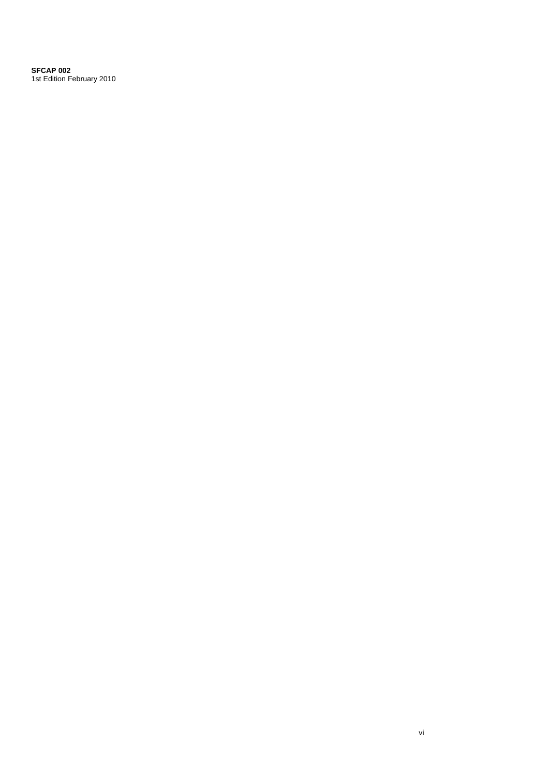**SFCAP 002**  1st Edition February 2010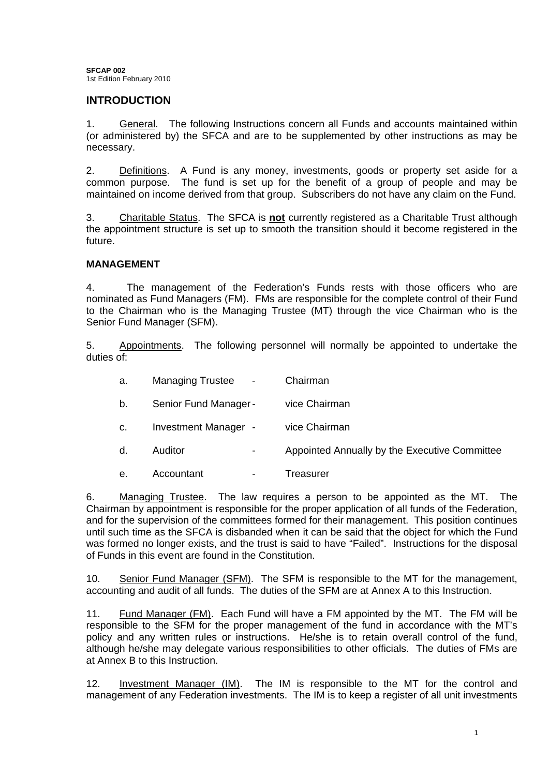#### **INTRODUCTION**

1. General. The following Instructions concern all Funds and accounts maintained within (or administered by) the SFCA and are to be supplemented by other instructions as may be necessary.

2. Definitions. A Fund is any money, investments, goods or property set aside for a common purpose. The fund is set up for the benefit of a group of people and may be maintained on income derived from that group. Subscribers do not have any claim on the Fund.

3. Charitable Status. The SFCA is **not** currently registered as a Charitable Trust although the appointment structure is set up to smooth the transition should it become registered in the future.

#### **MANAGEMENT**

4. The management of the Federation's Funds rests with those officers who are nominated as Fund Managers (FM). FMs are responsible for the complete control of their Fund to the Chairman who is the Managing Trustee (MT) through the vice Chairman who is the Senior Fund Manager (SFM).

5. Appointments. The following personnel will normally be appointed to undertake the duties of:

- a. Managing Trustee Chairman
- b. Senior Fund Manager vice Chairman
- c. Investment Manager vice Chairman
- d. Auditor Appointed Annually by the Executive Committee
- e. Accountant Treasurer

6. Managing Trustee. The law requires a person to be appointed as the MT. The Chairman by appointment is responsible for the proper application of all funds of the Federation, and for the supervision of the committees formed for their management. This position continues until such time as the SFCA is disbanded when it can be said that the object for which the Fund was formed no longer exists, and the trust is said to have "Failed". Instructions for the disposal of Funds in this event are found in the Constitution.

10. Senior Fund Manager (SFM). The SFM is responsible to the MT for the management, accounting and audit of all funds. The duties of the SFM are at Annex A to this Instruction.

11. Fund Manager (FM). Each Fund will have a FM appointed by the MT. The FM will be responsible to the SFM for the proper management of the fund in accordance with the MT's policy and any written rules or instructions. He/she is to retain overall control of the fund, although he/she may delegate various responsibilities to other officials. The duties of FMs are at Annex B to this Instruction.

12. Investment Manager (IM). The IM is responsible to the MT for the control and management of any Federation investments. The IM is to keep a register of all unit investments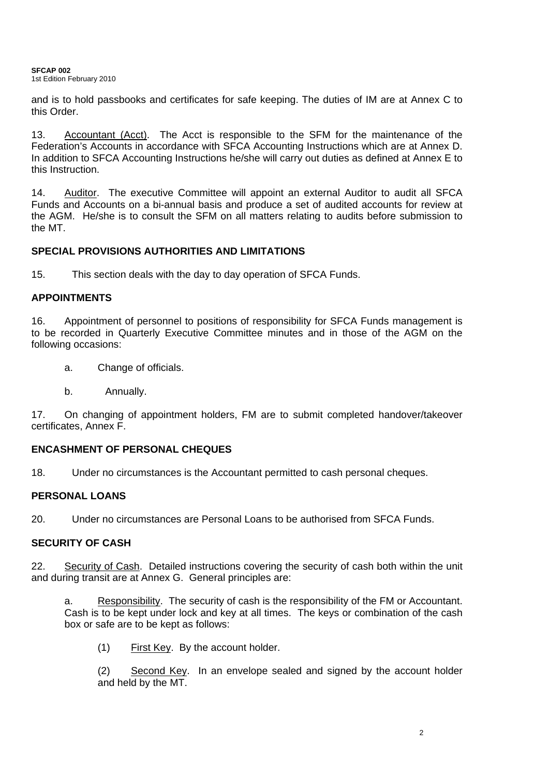**SFCAP 002**  1st Edition February 2010

and is to hold passbooks and certificates for safe keeping. The duties of IM are at Annex C to this Order.

13. Accountant (Acct). The Acct is responsible to the SFM for the maintenance of the Federation's Accounts in accordance with SFCA Accounting Instructions which are at Annex D. In addition to SFCA Accounting Instructions he/she will carry out duties as defined at Annex E to this Instruction.

14. Auditor. The executive Committee will appoint an external Auditor to audit all SFCA Funds and Accounts on a bi-annual basis and produce a set of audited accounts for review at the AGM. He/she is to consult the SFM on all matters relating to audits before submission to the MT.

#### **SPECIAL PROVISIONS AUTHORITIES AND LIMITATIONS**

15. This section deals with the day to day operation of SFCA Funds.

#### **APPOINTMENTS**

16. Appointment of personnel to positions of responsibility for SFCA Funds management is to be recorded in Quarterly Executive Committee minutes and in those of the AGM on the following occasions:

- a. Change of officials.
- b. Annually.

17. On changing of appointment holders, FM are to submit completed handover/takeover certificates, Annex F.

#### **ENCASHMENT OF PERSONAL CHEQUES**

18. Under no circumstances is the Accountant permitted to cash personal cheques.

#### **PERSONAL LOANS**

20. Under no circumstances are Personal Loans to be authorised from SFCA Funds.

#### **SECURITY OF CASH**

22. Security of Cash. Detailed instructions covering the security of cash both within the unit and during transit are at Annex G. General principles are:

a. Responsibility. The security of cash is the responsibility of the FM or Accountant. Cash is to be kept under lock and key at all times. The keys or combination of the cash box or safe are to be kept as follows:

(1) First Key. By the account holder.

(2) Second Key. In an envelope sealed and signed by the account holder and held by the MT.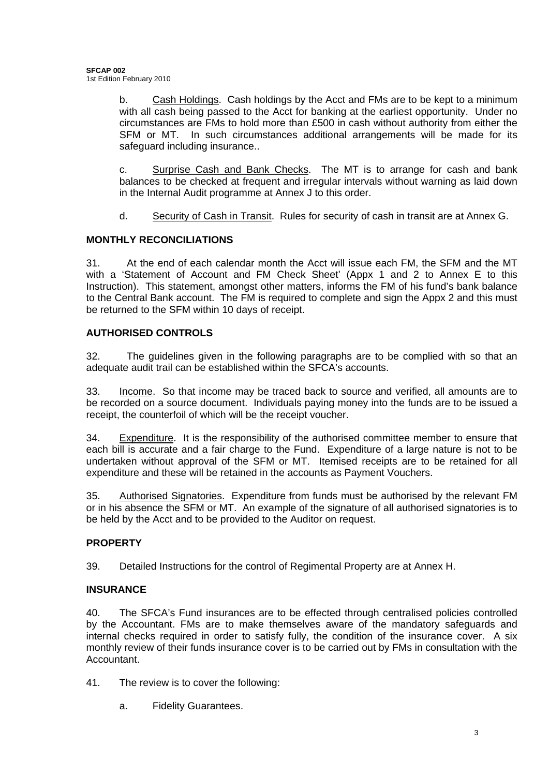b. Cash Holdings. Cash holdings by the Acct and FMs are to be kept to a minimum with all cash being passed to the Acct for banking at the earliest opportunity. Under no circumstances are FMs to hold more than £500 in cash without authority from either the SFM or MT. In such circumstances additional arrangements will be made for its safeguard including insurance..

c. Surprise Cash and Bank Checks. The MT is to arrange for cash and bank balances to be checked at frequent and irregular intervals without warning as laid down in the Internal Audit programme at Annex J to this order.

d. Security of Cash in Transit. Rules for security of cash in transit are at Annex G.

#### **MONTHLY RECONCILIATIONS**

31. At the end of each calendar month the Acct will issue each FM, the SFM and the MT with a 'Statement of Account and FM Check Sheet' (Appx 1 and 2 to Annex E to this Instruction). This statement, amongst other matters, informs the FM of his fund's bank balance to the Central Bank account. The FM is required to complete and sign the Appx 2 and this must be returned to the SFM within 10 days of receipt.

#### **AUTHORISED CONTROLS**

32. The guidelines given in the following paragraphs are to be complied with so that an adequate audit trail can be established within the SFCA's accounts.

33. Income. So that income may be traced back to source and verified, all amounts are to be recorded on a source document. Individuals paying money into the funds are to be issued a receipt, the counterfoil of which will be the receipt voucher.

34. Expenditure. It is the responsibility of the authorised committee member to ensure that each bill is accurate and a fair charge to the Fund. Expenditure of a large nature is not to be undertaken without approval of the SFM or MT. Itemised receipts are to be retained for all expenditure and these will be retained in the accounts as Payment Vouchers.

35. Authorised Signatories. Expenditure from funds must be authorised by the relevant FM or in his absence the SFM or MT. An example of the signature of all authorised signatories is to be held by the Acct and to be provided to the Auditor on request.

#### **PROPERTY**

39. Detailed Instructions for the control of Regimental Property are at Annex H.

#### **INSURANCE**

40. The SFCA's Fund insurances are to be effected through centralised policies controlled by the Accountant. FMs are to make themselves aware of the mandatory safeguards and internal checks required in order to satisfy fully, the condition of the insurance cover. A six monthly review of their funds insurance cover is to be carried out by FMs in consultation with the Accountant.

- 41. The review is to cover the following:
	- a. Fidelity Guarantees.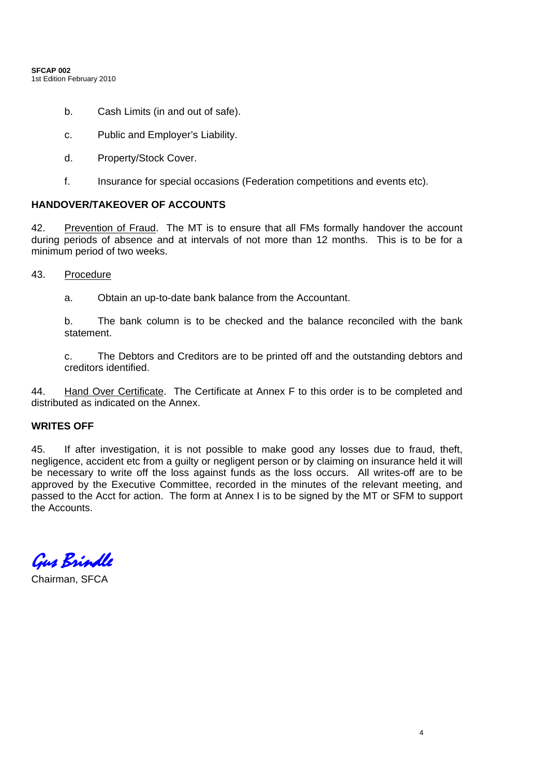- b. Cash Limits (in and out of safe).
- c. Public and Employer's Liability.
- d. Property/Stock Cover.
- f. Insurance for special occasions (Federation competitions and events etc).

#### **HANDOVER/TAKEOVER OF ACCOUNTS**

42. Prevention of Fraud. The MT is to ensure that all FMs formally handover the account during periods of absence and at intervals of not more than 12 months. This is to be for a minimum period of two weeks.

- 43. Procedure
	- a. Obtain an up-to-date bank balance from the Accountant.

b. The bank column is to be checked and the balance reconciled with the bank statement.

c. The Debtors and Creditors are to be printed off and the outstanding debtors and creditors identified.

44. Hand Over Certificate. The Certificate at Annex F to this order is to be completed and distributed as indicated on the Annex.

#### **WRITES OFF**

45. If after investigation, it is not possible to make good any losses due to fraud, theft, negligence, accident etc from a guilty or negligent person or by claiming on insurance held it will be necessary to write off the loss against funds as the loss occurs. All writes-off are to be approved by the Executive Committee, recorded in the minutes of the relevant meeting, and passed to the Acct for action. The form at Annex I is to be signed by the MT or SFM to support the Accounts.

Gus Brindle

Chairman, SFCA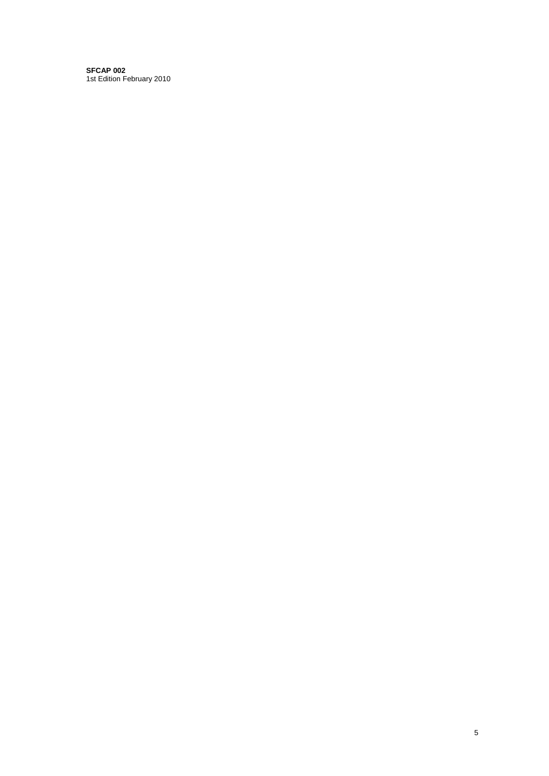**SFCAP 002**  1st Edition February 2010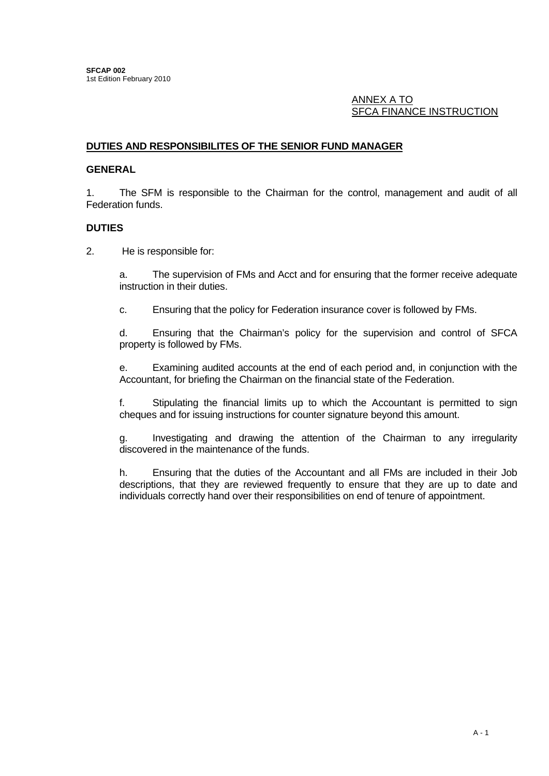#### ANNEX A TO **SFCA FINANCE INSTRUCTION**

#### **DUTIES AND RESPONSIBILITES OF THE SENIOR FUND MANAGER**

#### **GENERAL**

1. The SFM is responsible to the Chairman for the control, management and audit of all Federation funds.

#### **DUTIES**

2. He is responsible for:

a. The supervision of FMs and Acct and for ensuring that the former receive adequate instruction in their duties.

c. Ensuring that the policy for Federation insurance cover is followed by FMs.

d. Ensuring that the Chairman's policy for the supervision and control of SFCA property is followed by FMs.

e. Examining audited accounts at the end of each period and, in conjunction with the Accountant, for briefing the Chairman on the financial state of the Federation.

f. Stipulating the financial limits up to which the Accountant is permitted to sign cheques and for issuing instructions for counter signature beyond this amount.

g. Investigating and drawing the attention of the Chairman to any irregularity discovered in the maintenance of the funds.

h. Ensuring that the duties of the Accountant and all FMs are included in their Job descriptions, that they are reviewed frequently to ensure that they are up to date and individuals correctly hand over their responsibilities on end of tenure of appointment.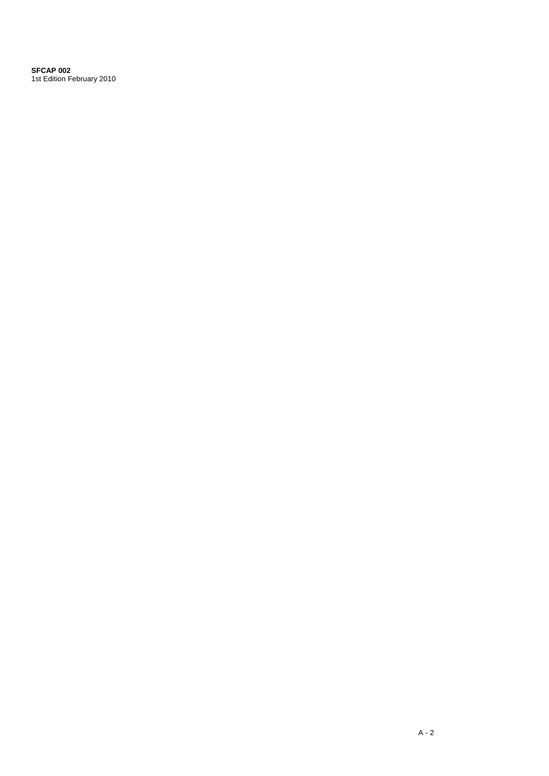**SFCAP 002**  1st Edition February 2010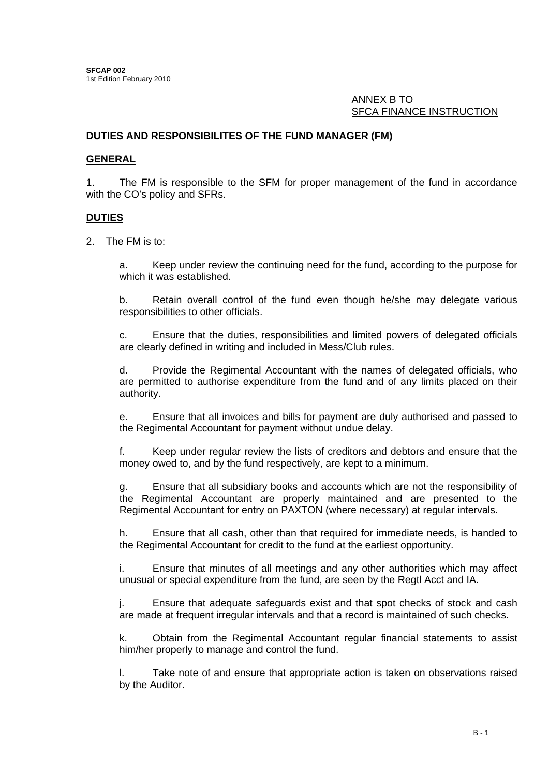#### ANNEX B TO **SFCA FINANCE INSTRUCTION**

#### **DUTIES AND RESPONSIBILITES OF THE FUND MANAGER (FM)**

#### **GENERAL**

1. The FM is responsible to the SFM for proper management of the fund in accordance with the CO's policy and SFRs.

#### **DUTIES**

2. The FM is to:

a. Keep under review the continuing need for the fund, according to the purpose for which it was established.

b. Retain overall control of the fund even though he/she may delegate various responsibilities to other officials.

c. Ensure that the duties, responsibilities and limited powers of delegated officials are clearly defined in writing and included in Mess/Club rules.

d. Provide the Regimental Accountant with the names of delegated officials, who are permitted to authorise expenditure from the fund and of any limits placed on their authority.

e. Ensure that all invoices and bills for payment are duly authorised and passed to the Regimental Accountant for payment without undue delay.

f. Keep under regular review the lists of creditors and debtors and ensure that the money owed to, and by the fund respectively, are kept to a minimum.

g. Ensure that all subsidiary books and accounts which are not the responsibility of the Regimental Accountant are properly maintained and are presented to the Regimental Accountant for entry on PAXTON (where necessary) at regular intervals.

h. Ensure that all cash, other than that required for immediate needs, is handed to the Regimental Accountant for credit to the fund at the earliest opportunity.

i. Ensure that minutes of all meetings and any other authorities which may affect unusual or special expenditure from the fund, are seen by the Regtl Acct and IA.

j. Ensure that adequate safeguards exist and that spot checks of stock and cash are made at frequent irregular intervals and that a record is maintained of such checks.

k. Obtain from the Regimental Accountant regular financial statements to assist him/her properly to manage and control the fund.

l. Take note of and ensure that appropriate action is taken on observations raised by the Auditor.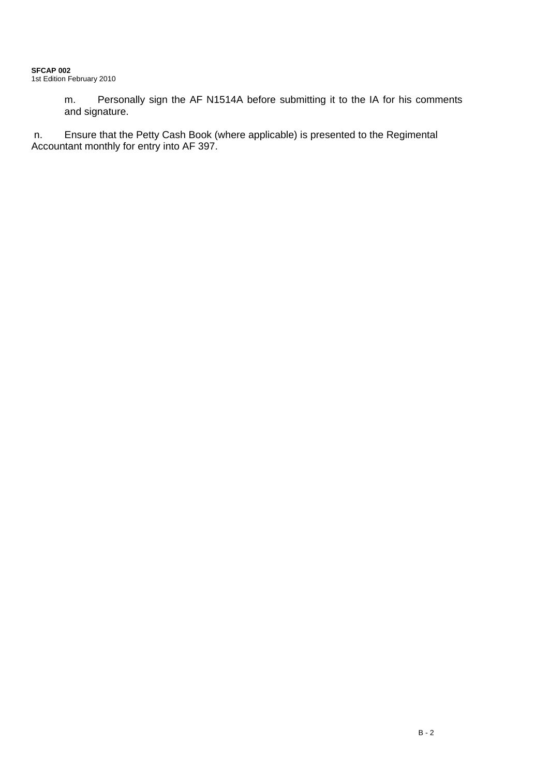#### **SFCAP 002**  1st Edition February 2010

m. Personally sign the AF N1514A before submitting it to the IA for his comments and signature.

n. Ensure that the Petty Cash Book (where applicable) is presented to the Regimental Accountant monthly for entry into AF 397.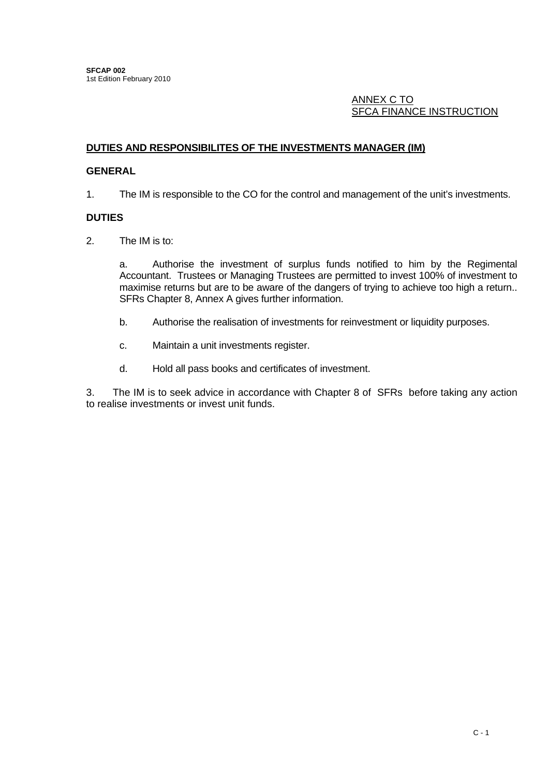#### ANNEX C TO **SFCA FINANCE INSTRUCTION**

#### **DUTIES AND RESPONSIBILITES OF THE INVESTMENTS MANAGER (IM)**

#### **GENERAL**

1. The IM is responsible to the CO for the control and management of the unit's investments.

#### **DUTIES**

2. The IM is to:

a. Authorise the investment of surplus funds notified to him by the Regimental Accountant. Trustees or Managing Trustees are permitted to invest 100% of investment to maximise returns but are to be aware of the dangers of trying to achieve too high a return.. SFRs Chapter 8, Annex A gives further information.

- b. Authorise the realisation of investments for reinvestment or liquidity purposes.
- c. Maintain a unit investments register.
- d. Hold all pass books and certificates of investment.

3. The IM is to seek advice in accordance with Chapter 8 of SFRs before taking any action to realise investments or invest unit funds.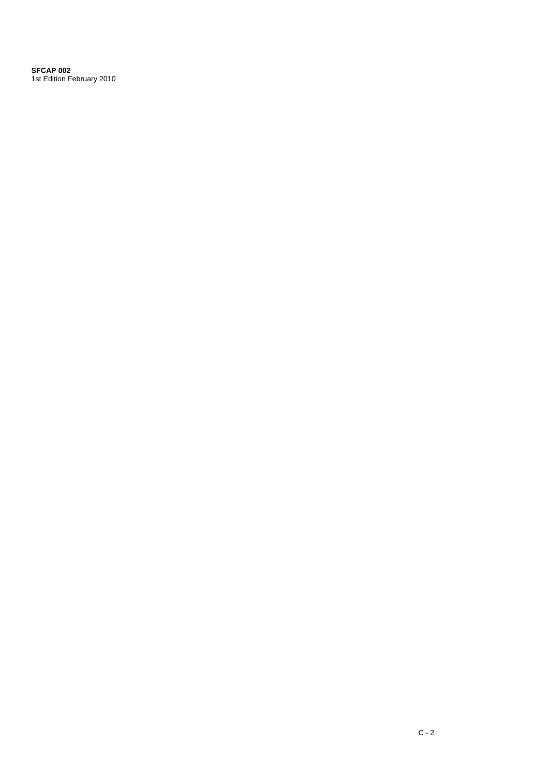**SFCAP 002**  1st Edition February 2010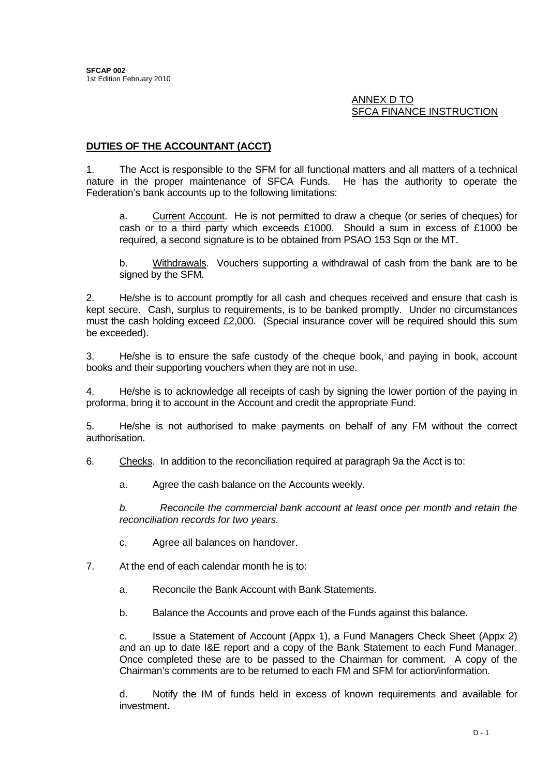#### ANNEX D TO SFCA FINANCE INSTRUCTION

#### **DUTIES OF THE ACCOUNTANT (ACCT)**

1. The Acct is responsible to the SFM for all functional matters and all matters of a technical nature in the proper maintenance of SFCA Funds. He has the authority to operate the Federation's bank accounts up to the following limitations:

a. Current Account. He is not permitted to draw a cheque (or series of cheques) for cash or to a third party which exceeds £1000. Should a sum in excess of £1000 be required, a second signature is to be obtained from PSAO 153 Sqn or the MT.

b. Withdrawals. Vouchers supporting a withdrawal of cash from the bank are to be signed by the SFM.

2. He/she is to account promptly for all cash and cheques received and ensure that cash is kept secure. Cash, surplus to requirements, is to be banked promptly. Under no circumstances must the cash holding exceed £2,000. (Special insurance cover will be required should this sum be exceeded).

3. He/she is to ensure the safe custody of the cheque book, and paying in book, account books and their supporting vouchers when they are not in use.

4. He/she is to acknowledge all receipts of cash by signing the lower portion of the paying in proforma, bring it to account in the Account and credit the appropriate Fund.

5. He/she is not authorised to make payments on behalf of any FM without the correct authorisation.

6. Checks. In addition to the reconciliation required at paragraph 9a the Acct is to:

a. Agree the cash balance on the Accounts weekly.

*b. Reconcile the commercial bank account at least once per month and retain the reconciliation records for two years.* 

- c. Agree all balances on handover.
- 7. At the end of each calendar month he is to:
	- a. Reconcile the Bank Account with Bank Statements.

b. Balance the Accounts and prove each of the Funds against this balance.

c. Issue a Statement of Account (Appx 1), a Fund Managers Check Sheet (Appx 2) and an up to date I&E report and a copy of the Bank Statement to each Fund Manager. Once completed these are to be passed to the Chairman for comment. A copy of the Chairman's comments are to be returned to each FM and SFM for action/information.

d. Notify the IM of funds held in excess of known requirements and available for investment.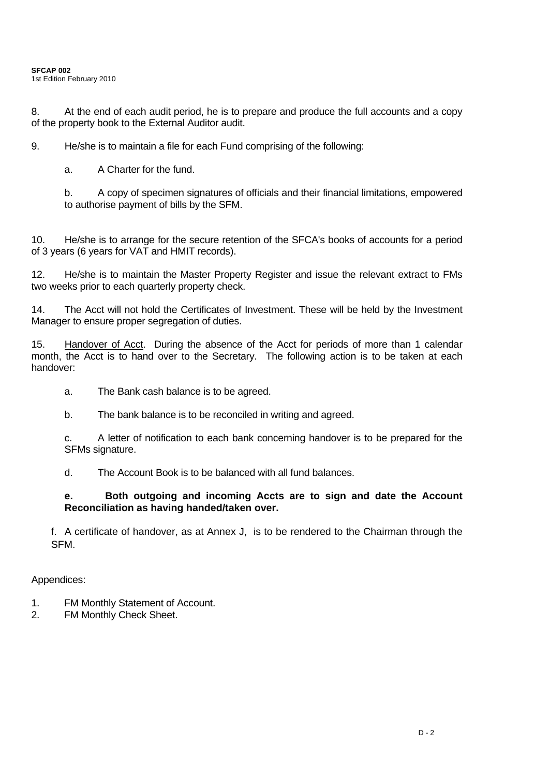8. At the end of each audit period, he is to prepare and produce the full accounts and a copy of the property book to the External Auditor audit.

9. He/she is to maintain a file for each Fund comprising of the following:

a. A Charter for the fund.

b. A copy of specimen signatures of officials and their financial limitations, empowered to authorise payment of bills by the SFM.

10. He/she is to arrange for the secure retention of the SFCA's books of accounts for a period of 3 years (6 years for VAT and HMIT records).

12. He/she is to maintain the Master Property Register and issue the relevant extract to FMs two weeks prior to each quarterly property check.

14. The Acct will not hold the Certificates of Investment. These will be held by the Investment Manager to ensure proper segregation of duties.

15. Handover of Acct. During the absence of the Acct for periods of more than 1 calendar month, the Acct is to hand over to the Secretary. The following action is to be taken at each handover:

- a. The Bank cash balance is to be agreed.
- b. The bank balance is to be reconciled in writing and agreed.

c. A letter of notification to each bank concerning handover is to be prepared for the SFMs signature.

d. The Account Book is to be balanced with all fund balances.

#### **e. Both outgoing and incoming Accts are to sign and date the Account Reconciliation as having handed/taken over.**

f. A certificate of handover, as at Annex J, is to be rendered to the Chairman through the SFM.

Appendices:

- 1. FM Monthly Statement of Account.
- 2. FM Monthly Check Sheet.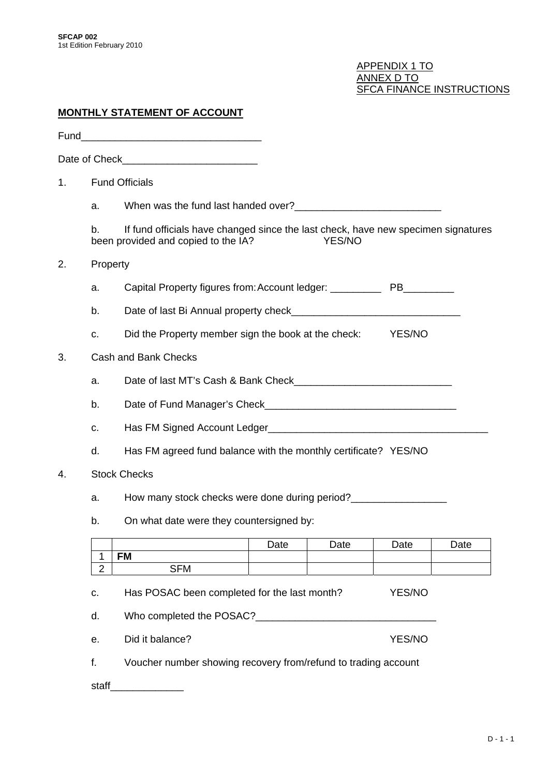#### APPENDIX 1 TO ANNEX D TO **SFCA FINANCE INSTRUCTIONS**

#### **MONTHLY STATEMENT OF ACCOUNT**

| 1. |                | <b>Fund Officials</b>                                                                                                    |      |        |               |      |
|----|----------------|--------------------------------------------------------------------------------------------------------------------------|------|--------|---------------|------|
|    | a.             |                                                                                                                          |      |        |               |      |
|    | b.             | If fund officials have changed since the last check, have new specimen signatures<br>been provided and copied to the IA? |      | YES/NO |               |      |
| 2. | Property       |                                                                                                                          |      |        |               |      |
|    | a.             | Capital Property figures from: Account ledger: _________________________________                                         |      |        |               |      |
|    | b.             |                                                                                                                          |      |        |               |      |
|    | C.             | Did the Property member sign the book at the check:                                                                      |      |        | <b>YES/NO</b> |      |
| 3. |                | <b>Cash and Bank Checks</b>                                                                                              |      |        |               |      |
|    | a.             |                                                                                                                          |      |        |               |      |
|    | b.             |                                                                                                                          |      |        |               |      |
|    | c.             |                                                                                                                          |      |        |               |      |
|    | d.             | Has FM agreed fund balance with the monthly certificate? YES/NO                                                          |      |        |               |      |
| 4. |                | <b>Stock Checks</b>                                                                                                      |      |        |               |      |
|    | a.             | How many stock checks were done during period?__________________________________                                         |      |        |               |      |
|    | b.             | On what date were they countersigned by:                                                                                 |      |        |               |      |
|    |                |                                                                                                                          | Date | Date   | Date          | Date |
|    | 1              | <b>FM</b>                                                                                                                |      |        |               |      |
|    | $\overline{2}$ | <b>SFM</b>                                                                                                               |      |        |               |      |
|    | c.             | Has POSAC been completed for the last month?                                                                             |      |        | YES/NO        |      |
|    | d.             |                                                                                                                          |      |        |               |      |
|    | е.             | Did it balance?                                                                                                          |      |        | YES/NO        |      |
|    | f.             | Voucher number showing recovery from/refund to trading account                                                           |      |        |               |      |
|    | staff          |                                                                                                                          |      |        |               |      |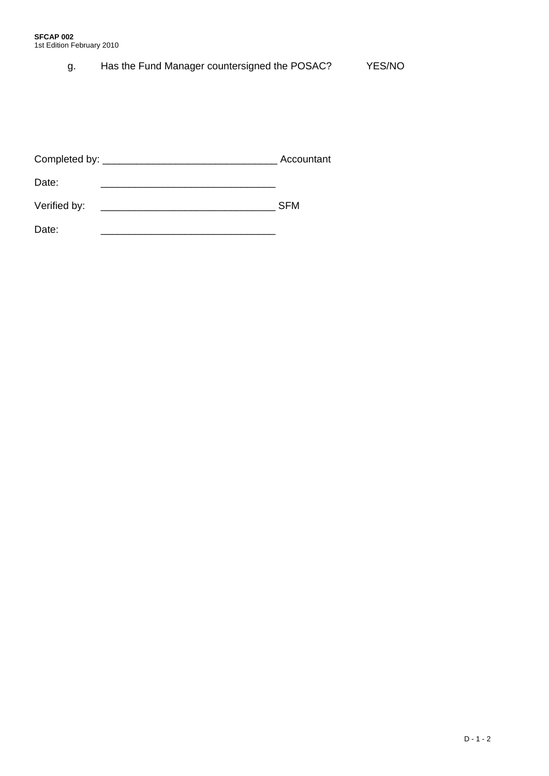### g. Has the Fund Manager countersigned the POSAC? YES/NO

|              | Accountant |
|--------------|------------|
| Date:        |            |
| Verified by: | <b>SFM</b> |
| Date:        |            |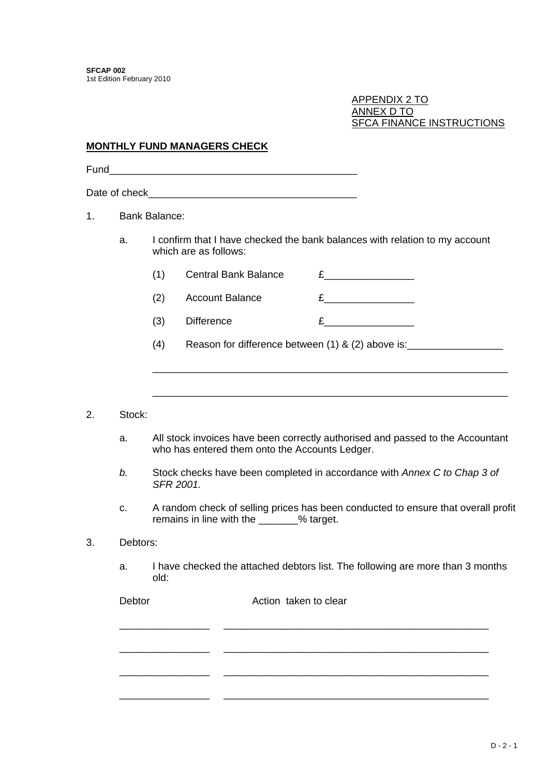APPENDIX 2 TO ANNEX D TO SFCA FINANCE INSTRUCTIONS

#### **MONTHLY FUND MANAGERS CHECK**

| Fund |  |  |  |
|------|--|--|--|
|      |  |  |  |

Date of check

1. Bank Balance:

- a. I confirm that I have checked the bank balances with relation to my account which are as follows:
	- (1) Central Bank Balance  $\qquad \qquad \text{E}$
	- (2) Account Balance  $\qquad \qquad \text{E}$
	- (3) Difference  $\mathbf{E}$
	- (4) Reason for difference between (1) & (2) above is:\_\_\_\_\_\_\_\_\_\_\_\_\_\_\_\_\_
- 2. Stock:
	- a. All stock invoices have been correctly authorised and passed to the Accountant who has entered them onto the Accounts Ledger.

\_\_\_\_\_\_\_\_\_\_\_\_\_\_\_\_\_\_\_\_\_\_\_\_\_\_\_\_\_\_\_\_\_\_\_\_\_\_\_\_\_\_\_\_\_\_\_\_\_\_\_\_\_\_\_\_\_\_\_\_\_\_\_

\_\_\_\_\_\_\_\_\_\_\_\_\_\_\_\_\_\_\_\_\_\_\_\_\_\_\_\_\_\_\_\_\_\_\_\_\_\_\_\_\_\_\_\_\_\_\_\_\_\_\_\_\_\_\_\_\_\_\_\_\_\_\_

- *b.* Stock checks have been completed in accordance with *Annex C to Chap 3 of SFR 2001.*
- c. A random check of selling prices has been conducted to ensure that overall profit remains in line with the  $\sim$  % target.

#### 3. Debtors:

a. I have checked the attached debtors list. The following are more than 3 months old:

| Debtor | Action taken to clear |
|--------|-----------------------|
|        |                       |
|        |                       |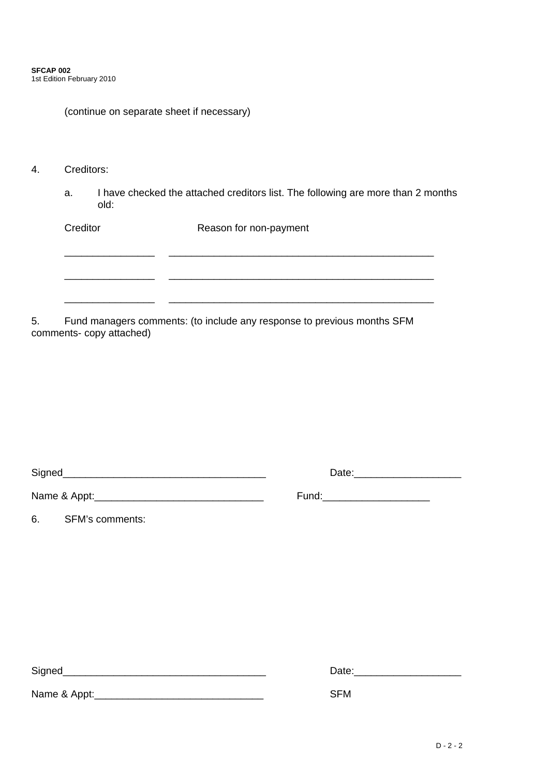|  |  | (continue on separate sheet if necessary) |
|--|--|-------------------------------------------|
|  |  |                                           |

- 4. Creditors:
	- a. I have checked the attached creditors list. The following are more than 2 months old:

| Creditor | Reason for non-payment |
|----------|------------------------|
|          |                        |
|          |                        |

5. Fund managers comments: (to include any response to previous months SFM comments- copy attached)

|                    | Fund:________________________ |  |
|--------------------|-------------------------------|--|
| 6. SFM's comments: |                               |  |

Signed\_\_\_\_\_\_\_\_\_\_\_\_\_\_\_\_\_\_\_\_\_\_\_\_\_\_\_\_\_\_\_\_\_\_\_\_ Date:\_\_\_\_\_\_\_\_\_\_\_\_\_\_\_\_\_\_\_

Name & Appt:\_\_\_\_\_\_\_\_\_\_\_\_\_\_\_\_\_\_\_\_\_\_\_\_\_\_\_\_\_\_ SFM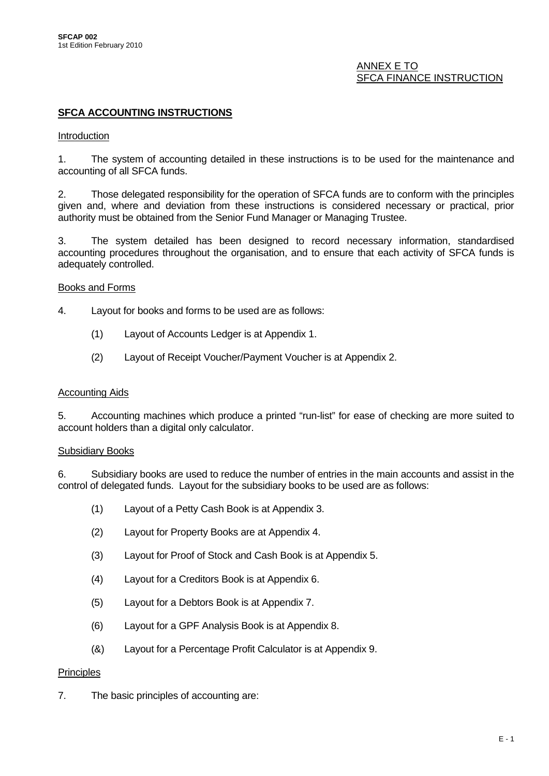ANNEX E TO SFCA FINANCE INSTRUCTION

#### **SFCA ACCOUNTING INSTRUCTIONS**

#### Introduction

1. The system of accounting detailed in these instructions is to be used for the maintenance and accounting of all SFCA funds.

2. Those delegated responsibility for the operation of SFCA funds are to conform with the principles given and, where and deviation from these instructions is considered necessary or practical, prior authority must be obtained from the Senior Fund Manager or Managing Trustee.

3. The system detailed has been designed to record necessary information, standardised accounting procedures throughout the organisation, and to ensure that each activity of SFCA funds is adequately controlled.

#### Books and Forms

- 4. Layout for books and forms to be used are as follows:
	- (1) Layout of Accounts Ledger is at Appendix 1.
	- (2) Layout of Receipt Voucher/Payment Voucher is at Appendix 2.

#### Accounting Aids

5. Accounting machines which produce a printed "run-list" for ease of checking are more suited to account holders than a digital only calculator.

#### Subsidiary Books

6. Subsidiary books are used to reduce the number of entries in the main accounts and assist in the control of delegated funds. Layout for the subsidiary books to be used are as follows:

- (1) Layout of a Petty Cash Book is at Appendix 3.
- (2) Layout for Property Books are at Appendix 4.
- (3) Layout for Proof of Stock and Cash Book is at Appendix 5.
- (4) Layout for a Creditors Book is at Appendix 6.
- (5) Layout for a Debtors Book is at Appendix 7.
- (6) Layout for a GPF Analysis Book is at Appendix 8.
- (&) Layout for a Percentage Profit Calculator is at Appendix 9.

#### **Principles**

7. The basic principles of accounting are: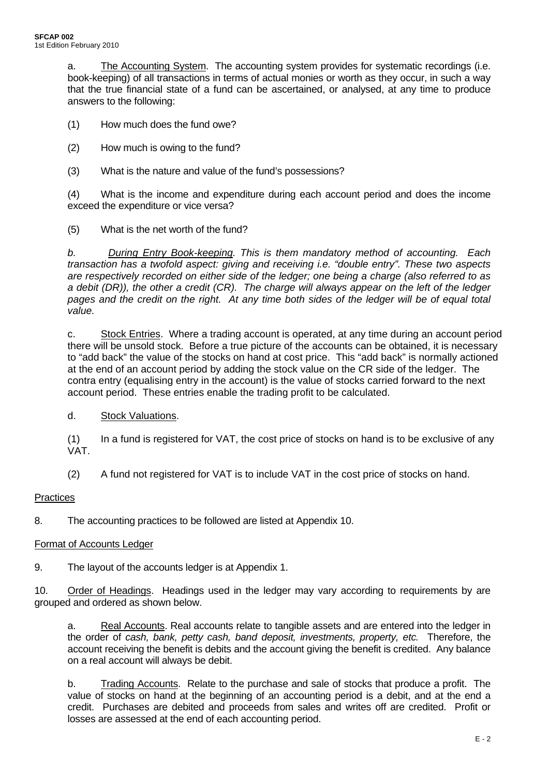a. The Accounting System. The accounting system provides for systematic recordings (i.e. book-keeping) of all transactions in terms of actual monies or worth as they occur, in such a way that the true financial state of a fund can be ascertained, or analysed, at any time to produce answers to the following:

(1) How much does the fund owe?

- (2) How much is owing to the fund?
- (3) What is the nature and value of the fund's possessions?

(4) What is the income and expenditure during each account period and does the income exceed the expenditure or vice versa?

(5) What is the net worth of the fund?

*b. During Entry Book-keeping. This is them mandatory method of accounting. Each transaction has a twofold aspect: giving and receiving i.e. "double entry". These two aspects are respectively recorded on either side of the ledger; one being a charge (also referred to as a debit (DR)), the other a credit (CR). The charge will always appear on the left of the ledger*  pages and the credit on the right. At any time both sides of the ledger will be of equal total *value.* 

c. Stock Entries. Where a trading account is operated, at any time during an account period there will be unsold stock. Before a true picture of the accounts can be obtained, it is necessary to "add back" the value of the stocks on hand at cost price. This "add back" is normally actioned at the end of an account period by adding the stock value on the CR side of the ledger. The contra entry (equalising entry in the account) is the value of stocks carried forward to the next account period. These entries enable the trading profit to be calculated.

- d. Stock Valuations.
- (1) In a fund is registered for VAT, the cost price of stocks on hand is to be exclusive of any VAT.
- (2) A fund not registered for VAT is to include VAT in the cost price of stocks on hand.

#### **Practices**

8. The accounting practices to be followed are listed at Appendix 10.

#### Format of Accounts Ledger

9. The layout of the accounts ledger is at Appendix 1.

10. Order of Headings. Headings used in the ledger may vary according to requirements by are grouped and ordered as shown below.

a. Real Accounts. Real accounts relate to tangible assets and are entered into the ledger in the order of *cash, bank, petty cash, band deposit, investments, property, etc.* Therefore, the account receiving the benefit is debits and the account giving the benefit is credited. Any balance on a real account will always be debit.

b. Trading Accounts. Relate to the purchase and sale of stocks that produce a profit. The value of stocks on hand at the beginning of an accounting period is a debit, and at the end a credit. Purchases are debited and proceeds from sales and writes off are credited. Profit or losses are assessed at the end of each accounting period.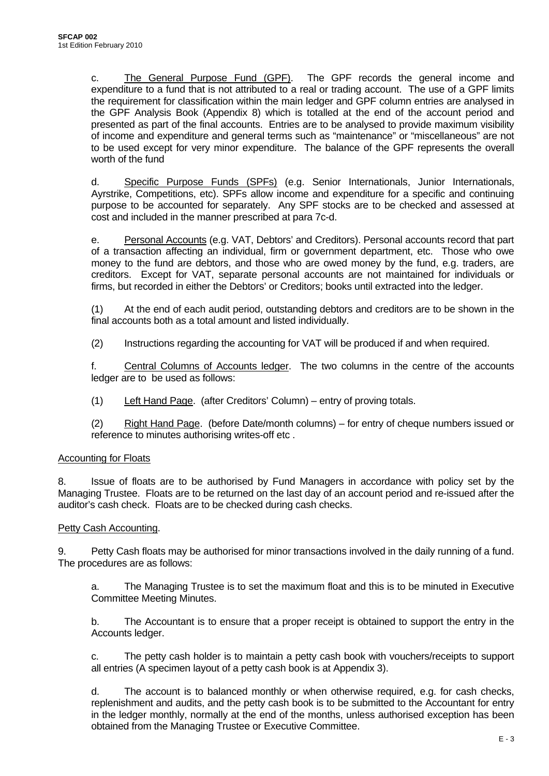c. The General Purpose Fund (GPF). The GPF records the general income and expenditure to a fund that is not attributed to a real or trading account. The use of a GPF limits the requirement for classification within the main ledger and GPF column entries are analysed in the GPF Analysis Book (Appendix 8) which is totalled at the end of the account period and presented as part of the final accounts. Entries are to be analysed to provide maximum visibility of income and expenditure and general terms such as "maintenance" or "miscellaneous" are not to be used except for very minor expenditure. The balance of the GPF represents the overall worth of the fund

d. Specific Purpose Funds (SPFs) (e.g. Senior Internationals, Junior Internationals, Ayrstrike, Competitions, etc). SPFs allow income and expenditure for a specific and continuing purpose to be accounted for separately. Any SPF stocks are to be checked and assessed at cost and included in the manner prescribed at para 7c-d.

e. Personal Accounts (e.g. VAT, Debtors' and Creditors). Personal accounts record that part of a transaction affecting an individual, firm or government department, etc. Those who owe money to the fund are debtors, and those who are owed money by the fund, e.g. traders, are creditors. Except for VAT, separate personal accounts are not maintained for individuals or firms, but recorded in either the Debtors' or Creditors; books until extracted into the ledger.

(1) At the end of each audit period, outstanding debtors and creditors are to be shown in the final accounts both as a total amount and listed individually.

(2) Instructions regarding the accounting for VAT will be produced if and when required.

f. Central Columns of Accounts ledger. The two columns in the centre of the accounts ledger are to be used as follows:

(1) Left Hand Page. (after Creditors' Column) – entry of proving totals.

(2) Right Hand Page. (before Date/month columns) – for entry of cheque numbers issued or reference to minutes authorising writes-off etc .

#### Accounting for Floats

8. Issue of floats are to be authorised by Fund Managers in accordance with policy set by the Managing Trustee. Floats are to be returned on the last day of an account period and re-issued after the auditor's cash check. Floats are to be checked during cash checks.

#### Petty Cash Accounting.

9. Petty Cash floats may be authorised for minor transactions involved in the daily running of a fund. The procedures are as follows:

a. The Managing Trustee is to set the maximum float and this is to be minuted in Executive Committee Meeting Minutes.

b. The Accountant is to ensure that a proper receipt is obtained to support the entry in the Accounts ledger.

c. The petty cash holder is to maintain a petty cash book with vouchers/receipts to support all entries (A specimen layout of a petty cash book is at Appendix 3).

d. The account is to balanced monthly or when otherwise required, e.g. for cash checks, replenishment and audits, and the petty cash book is to be submitted to the Accountant for entry in the ledger monthly, normally at the end of the months, unless authorised exception has been obtained from the Managing Trustee or Executive Committee.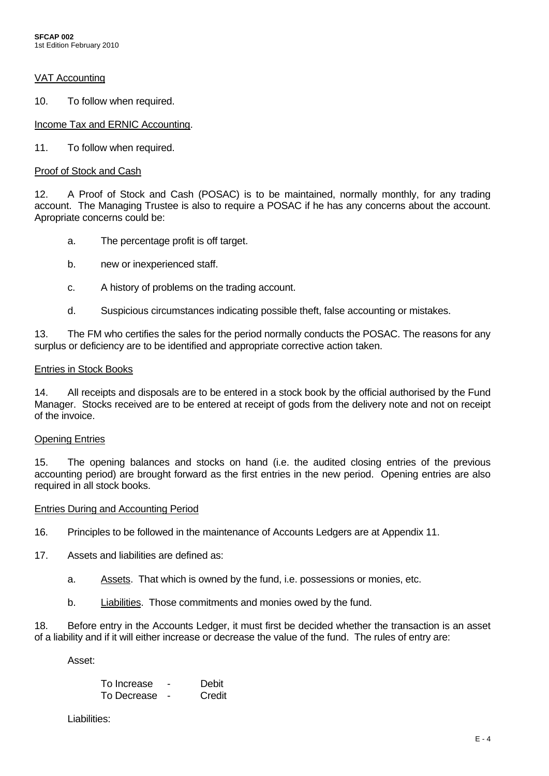#### VAT Accounting

10. To follow when required.

#### Income Tax and ERNIC Accounting.

11. To follow when required.

#### Proof of Stock and Cash

12. A Proof of Stock and Cash (POSAC) is to be maintained, normally monthly, for any trading account. The Managing Trustee is also to require a POSAC if he has any concerns about the account. Apropriate concerns could be:

- a. The percentage profit is off target.
- b. new or inexperienced staff.
- c. A history of problems on the trading account.
- d. Suspicious circumstances indicating possible theft, false accounting or mistakes.

13. The FM who certifies the sales for the period normally conducts the POSAC. The reasons for any surplus or deficiency are to be identified and appropriate corrective action taken.

#### Entries in Stock Books

14. All receipts and disposals are to be entered in a stock book by the official authorised by the Fund Manager. Stocks received are to be entered at receipt of gods from the delivery note and not on receipt of the invoice.

#### Opening Entries

15. The opening balances and stocks on hand (i.e. the audited closing entries of the previous accounting period) are brought forward as the first entries in the new period. Opening entries are also required in all stock books.

#### Entries During and Accounting Period

- 16. Principles to be followed in the maintenance of Accounts Ledgers are at Appendix 11.
- 17. Assets and liabilities are defined as:
	- a. Assets. That which is owned by the fund, i.e. possessions or monies, etc.
	- b. Liabilities. Those commitments and monies owed by the fund.

18. Before entry in the Accounts Ledger, it must first be decided whether the transaction is an asset of a liability and if it will either increase or decrease the value of the fund. The rules of entry are:

Asset:

| To Increase | Debit  |
|-------------|--------|
| To Decrease | Credit |

Liabilities: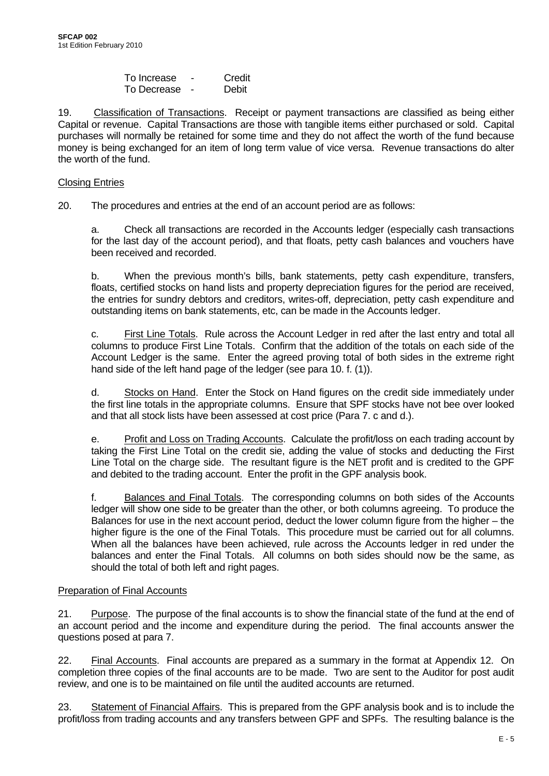| To Increase | Credit |
|-------------|--------|
| To Decrease | Debit  |

19. Classification of Transactions. Receipt or payment transactions are classified as being either Capital or revenue. Capital Transactions are those with tangible items either purchased or sold. Capital purchases will normally be retained for some time and they do not affect the worth of the fund because money is being exchanged for an item of long term value of vice versa. Revenue transactions do alter the worth of the fund.

#### Closing Entries

20. The procedures and entries at the end of an account period are as follows:

a. Check all transactions are recorded in the Accounts ledger (especially cash transactions for the last day of the account period), and that floats, petty cash balances and vouchers have been received and recorded.

b. When the previous month's bills, bank statements, petty cash expenditure, transfers, floats, certified stocks on hand lists and property depreciation figures for the period are received, the entries for sundry debtors and creditors, writes-off, depreciation, petty cash expenditure and outstanding items on bank statements, etc, can be made in the Accounts ledger.

c. First Line Totals. Rule across the Account Ledger in red after the last entry and total all columns to produce First Line Totals. Confirm that the addition of the totals on each side of the Account Ledger is the same. Enter the agreed proving total of both sides in the extreme right hand side of the left hand page of the ledger (see para 10. f. (1)).

d. Stocks on Hand. Enter the Stock on Hand figures on the credit side immediately under the first line totals in the appropriate columns. Ensure that SPF stocks have not bee over looked and that all stock lists have been assessed at cost price (Para 7. c and d.).

e. Profit and Loss on Trading Accounts. Calculate the profit/loss on each trading account by taking the First Line Total on the credit sie, adding the value of stocks and deducting the First Line Total on the charge side. The resultant figure is the NET profit and is credited to the GPF and debited to the trading account. Enter the profit in the GPF analysis book.

f. Balances and Final Totals. The corresponding columns on both sides of the Accounts ledger will show one side to be greater than the other, or both columns agreeing. To produce the Balances for use in the next account period, deduct the lower column figure from the higher – the higher figure is the one of the Final Totals. This procedure must be carried out for all columns. When all the balances have been achieved, rule across the Accounts ledger in red under the balances and enter the Final Totals. All columns on both sides should now be the same, as should the total of both left and right pages.

#### Preparation of Final Accounts

21. Purpose. The purpose of the final accounts is to show the financial state of the fund at the end of an account period and the income and expenditure during the period. The final accounts answer the questions posed at para 7.

22. Final Accounts. Final accounts are prepared as a summary in the format at Appendix 12. On completion three copies of the final accounts are to be made. Two are sent to the Auditor for post audit review, and one is to be maintained on file until the audited accounts are returned.

23. Statement of Financial Affairs. This is prepared from the GPF analysis book and is to include the profit/loss from trading accounts and any transfers between GPF and SPFs. The resulting balance is the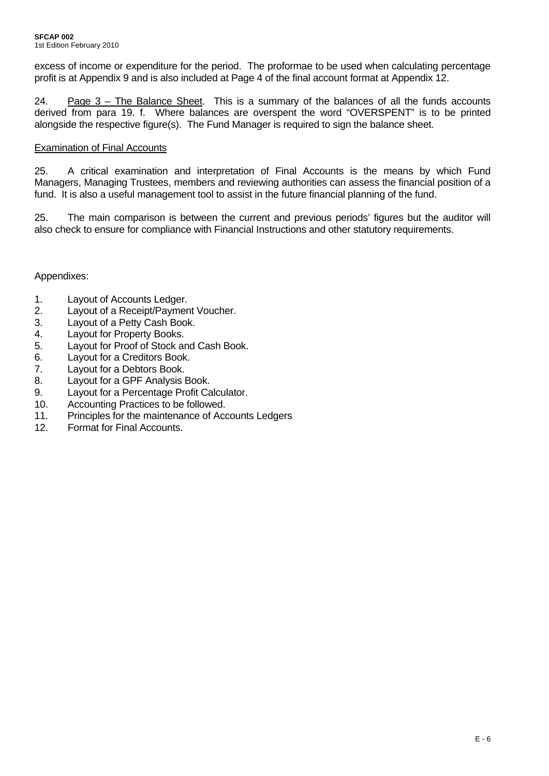excess of income or expenditure for the period. The proformae to be used when calculating percentage profit is at Appendix 9 and is also included at Page 4 of the final account format at Appendix 12.

24. Page 3 – The Balance Sheet. This is a summary of the balances of all the funds accounts derived from para 19. f. Where balances are overspent the word "OVERSPENT" is to be printed alongside the respective figure(s). The Fund Manager is required to sign the balance sheet.

#### Examination of Final Accounts

25. A critical examination and interpretation of Final Accounts is the means by which Fund Managers, Managing Trustees, members and reviewing authorities can assess the financial position of a fund. It is also a useful management tool to assist in the future financial planning of the fund.

25. The main comparison is between the current and previous periods' figures but the auditor will also check to ensure for compliance with Financial Instructions and other statutory requirements.

#### Appendixes:

- 1. Layout of Accounts Ledger.
- 2. Layout of a Receipt/Payment Voucher.
- 3. Layout of a Petty Cash Book.
- 4. Layout for Property Books.
- 5. Layout for Proof of Stock and Cash Book.
- 6. Layout for a Creditors Book.
- 7. Layout for a Debtors Book.
- 8. Layout for a GPF Analysis Book.
- 9. Layout for a Percentage Profit Calculator.
- 10. Accounting Practices to be followed.
- 11. Principles for the maintenance of Accounts Ledgers
- 12. Format for Final Accounts.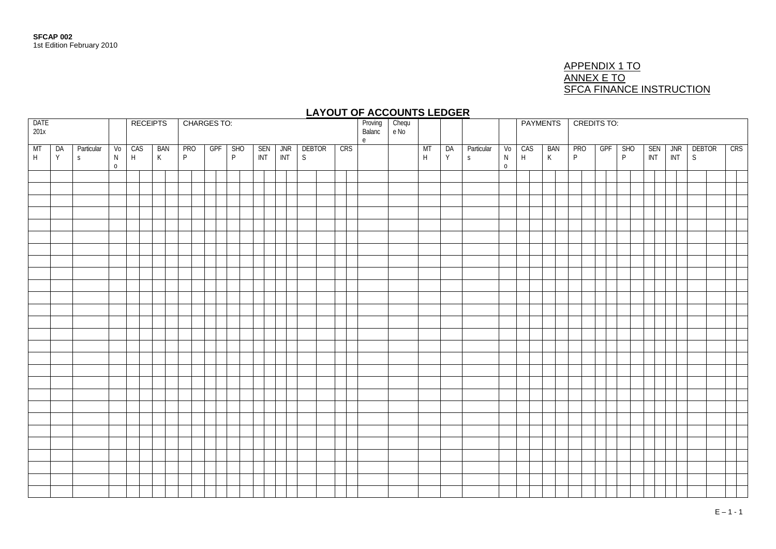#### <u>APPENDIX 1 TO</u> ANNEX E TO SFCA FINANCE INSTRUCTION

#### **LAYOUT OF ACCOUNTS LEDGER**

| DATE<br>201x |         |                 |                                |                    | <b>RECEIPTS</b> |                 | <b>CHARGES TO:</b> |     |                 |  |                             |  |     | Proving<br>Balanc<br>e | Chequ<br>e No |         |         |                 |                                        |                    | <b>PAYMENTS</b>       | <b>CREDITS TO:</b> |     |          |            |            |             |     |
|--------------|---------|-----------------|--------------------------------|--------------------|-----------------|-----------------|--------------------|-----|-----------------|--|-----------------------------|--|-----|------------------------|---------------|---------|---------|-----------------|----------------------------------------|--------------------|-----------------------|--------------------|-----|----------|------------|------------|-------------|-----|
| MT<br>H      | DA<br>Y | Particular<br>S | Vo<br>N<br>$\mathsf{O}\xspace$ | CAS<br>$\mathsf H$ | BAN<br>K        | <b>PRO</b><br>P |                    | GPF | <b>SHO</b><br>P |  | SEN JNR DEBTOR<br>INT INT S |  | CRS |                        |               | MT<br>H | DA<br>Y | Particular<br>S | $V_0$<br>$\,$ N<br>$\mathsf{O}\xspace$ | CAS<br>$\mathsf H$ | BAN<br>$\mathsf{K}^-$ | <b>PRO</b><br>P    | GPF | SHO<br>P | SEN<br>INT | JNR<br>INT | DEBTOR<br>S | CRS |
|              |         |                 |                                |                    |                 |                 |                    |     |                 |  |                             |  |     |                        |               |         |         |                 |                                        |                    |                       |                    |     |          |            |            |             |     |
|              |         |                 |                                |                    |                 |                 |                    |     |                 |  |                             |  |     |                        |               |         |         |                 |                                        |                    |                       |                    |     |          |            |            |             |     |
|              |         |                 |                                |                    |                 |                 |                    |     |                 |  |                             |  |     |                        |               |         |         |                 |                                        |                    |                       |                    |     |          |            |            |             |     |
|              |         |                 |                                |                    |                 |                 |                    |     |                 |  |                             |  |     |                        |               |         |         |                 |                                        |                    |                       |                    |     |          |            |            |             |     |
|              |         |                 |                                |                    |                 |                 |                    |     |                 |  |                             |  |     |                        |               |         |         |                 |                                        |                    |                       |                    |     |          |            |            |             |     |
|              |         |                 |                                |                    |                 |                 |                    |     |                 |  |                             |  |     |                        |               |         |         |                 |                                        |                    |                       |                    |     |          |            |            |             |     |
|              |         |                 |                                |                    |                 |                 |                    |     |                 |  |                             |  |     |                        |               |         |         |                 |                                        |                    |                       |                    |     |          |            |            |             |     |
|              |         |                 |                                |                    |                 |                 |                    |     |                 |  |                             |  |     |                        |               |         |         |                 |                                        |                    |                       |                    |     |          |            |            |             |     |
|              |         |                 |                                |                    |                 |                 |                    |     |                 |  |                             |  |     |                        |               |         |         |                 |                                        |                    |                       |                    |     |          |            |            |             |     |
|              |         |                 |                                |                    |                 |                 |                    |     |                 |  |                             |  |     |                        |               |         |         |                 |                                        |                    |                       |                    |     |          |            |            |             |     |
|              |         |                 |                                |                    |                 |                 |                    |     |                 |  |                             |  |     |                        |               |         |         |                 |                                        |                    |                       |                    |     |          |            |            |             |     |
|              |         |                 |                                |                    |                 |                 |                    |     |                 |  |                             |  |     |                        |               |         |         |                 |                                        |                    |                       |                    |     |          |            |            |             |     |
|              |         |                 |                                |                    |                 |                 |                    |     |                 |  |                             |  |     |                        |               |         |         |                 |                                        |                    |                       |                    |     |          |            |            |             |     |
|              |         |                 |                                |                    |                 |                 |                    |     |                 |  |                             |  |     |                        |               |         |         |                 |                                        |                    |                       |                    |     |          |            |            |             |     |
|              |         |                 |                                |                    |                 |                 |                    |     |                 |  |                             |  |     |                        |               |         |         |                 |                                        |                    |                       |                    |     |          |            |            |             |     |
|              |         |                 |                                |                    |                 |                 |                    |     |                 |  |                             |  |     |                        |               |         |         |                 |                                        |                    |                       |                    |     |          |            |            |             |     |
|              |         |                 |                                |                    |                 |                 |                    |     |                 |  |                             |  |     |                        |               |         |         |                 |                                        |                    |                       |                    |     |          |            |            |             |     |
|              |         |                 |                                |                    |                 |                 |                    |     |                 |  |                             |  |     |                        |               |         |         |                 |                                        |                    |                       |                    |     |          |            |            |             |     |
|              |         |                 |                                |                    |                 |                 |                    |     |                 |  |                             |  |     |                        |               |         |         |                 |                                        |                    |                       |                    |     |          |            |            |             |     |
|              |         |                 |                                |                    |                 |                 |                    |     |                 |  |                             |  |     |                        |               |         |         |                 |                                        |                    |                       |                    |     |          |            |            |             |     |
|              |         |                 |                                |                    |                 |                 |                    |     |                 |  |                             |  |     |                        |               |         |         |                 |                                        |                    |                       |                    |     |          |            |            |             |     |
|              |         |                 |                                |                    |                 |                 |                    |     |                 |  |                             |  |     |                        |               |         |         |                 |                                        |                    |                       |                    |     |          |            |            |             |     |
|              |         |                 |                                |                    |                 |                 |                    |     |                 |  |                             |  |     |                        |               |         |         |                 |                                        |                    |                       |                    |     |          |            |            |             |     |
|              |         |                 |                                |                    |                 |                 |                    |     |                 |  |                             |  |     |                        |               |         |         |                 |                                        |                    |                       |                    |     |          |            |            |             |     |
|              |         |                 |                                |                    |                 |                 |                    |     |                 |  |                             |  |     |                        |               |         |         |                 |                                        |                    |                       |                    |     |          |            |            |             |     |
|              |         |                 |                                |                    |                 |                 |                    |     |                 |  |                             |  |     |                        |               |         |         |                 |                                        |                    |                       |                    |     |          |            |            |             |     |
|              |         |                 |                                |                    |                 |                 |                    |     |                 |  |                             |  |     |                        |               |         |         |                 |                                        |                    |                       |                    |     |          |            |            |             |     |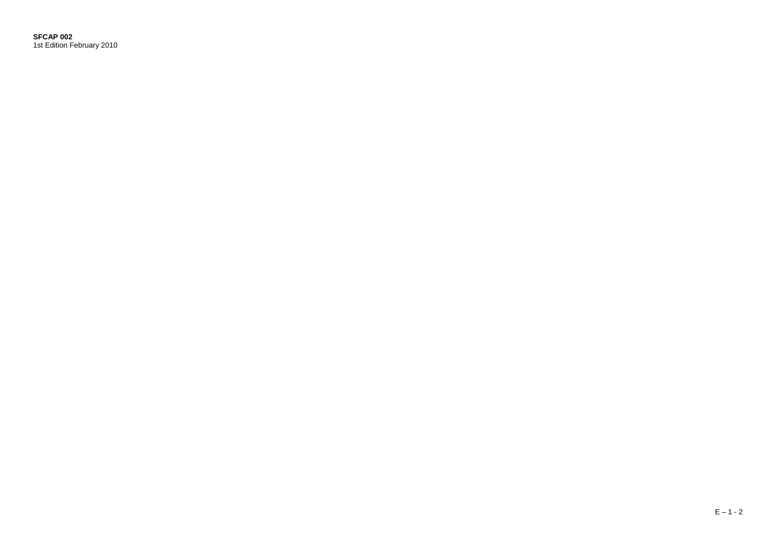SFCAP 002 1st Edition February 2010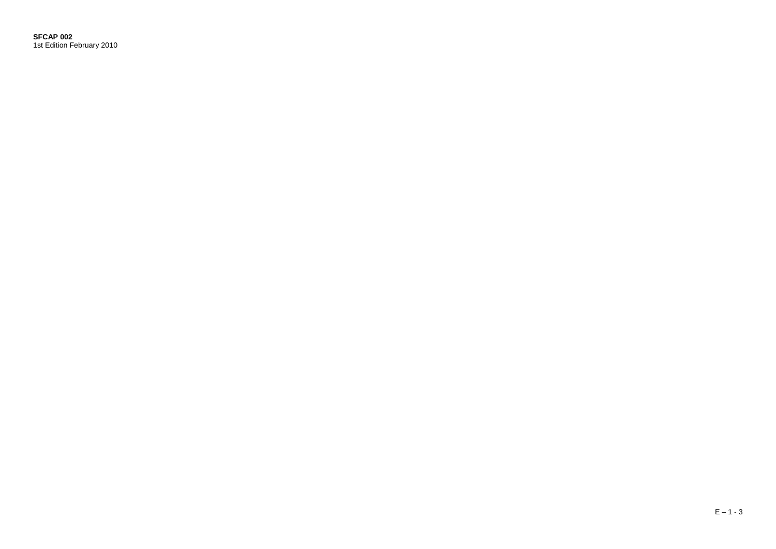SFCAP 002 1st Edition February 2010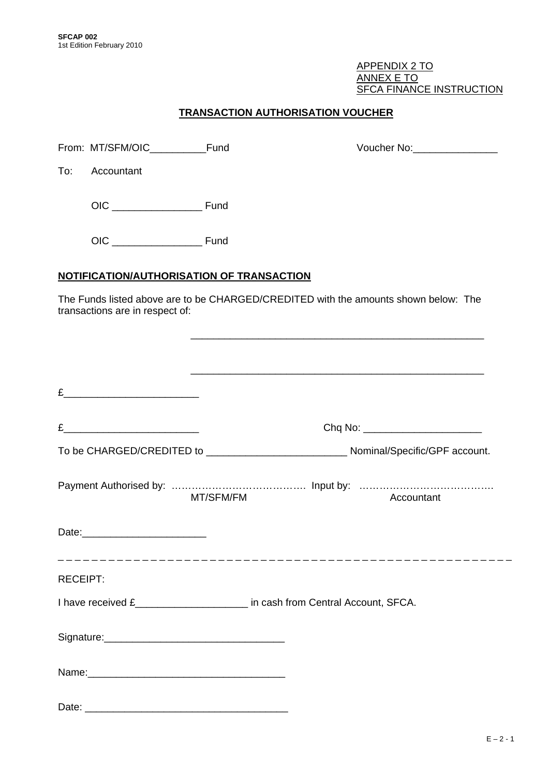#### APPENDIX 2 TO ANNEX E TO **SFCA FINANCE INSTRUCTION**

#### **TRANSACTION AUTHORISATION VOUCHER**

From: MT/SFM/OIC\_\_\_\_\_\_\_\_\_\_Fund Voucher No:\_\_\_\_\_\_\_\_\_\_\_\_\_\_\_

To: Accountant

OIC \_\_\_\_\_\_\_\_\_\_\_\_\_\_\_\_ Fund

OIC \_\_\_\_\_\_\_\_\_\_\_\_\_\_\_\_ Fund

#### **NOTIFICATION/AUTHORISATION OF TRANSACTION**

The Funds listed above are to be CHARGED/CREDITED with the amounts shown below: The transactions are in respect of:

 $\frac{1}{\sqrt{2\pi}}$  ,  $\frac{1}{\sqrt{2\pi}}$  ,  $\frac{1}{\sqrt{2\pi}}$  ,  $\frac{1}{\sqrt{2\pi}}$  ,  $\frac{1}{\sqrt{2\pi}}$  ,  $\frac{1}{\sqrt{2\pi}}$  ,  $\frac{1}{\sqrt{2\pi}}$  ,  $\frac{1}{\sqrt{2\pi}}$  ,  $\frac{1}{\sqrt{2\pi}}$  ,  $\frac{1}{\sqrt{2\pi}}$  ,  $\frac{1}{\sqrt{2\pi}}$  ,  $\frac{1}{\sqrt{2\pi}}$  ,  $\frac{1}{\sqrt{2\pi}}$  ,

| $E$ and $E$ and $E$ and $E$ and $E$ and $E$ and $E$ and $E$ and $E$ and $E$ and $E$ and $E$ and $E$ and $E$ and $E$ and $E$ and $E$ and $E$ and $E$ and $E$ and $E$ and $E$ and $E$ and $E$ and $E$ and $E$ and $E$ and $E$ a |                                                                              |
|-------------------------------------------------------------------------------------------------------------------------------------------------------------------------------------------------------------------------------|------------------------------------------------------------------------------|
| $E$ and $E$ and $E$ and $E$ and $E$ and $E$ and $E$ and $E$ and $E$ and $E$ and $E$ and $E$ and $E$ and $E$ and $E$ and $E$ and $E$ and $E$ and $E$ and $E$ and $E$ and $E$ and $E$ and $E$ and $E$ and $E$ and $E$ and $E$ a | Chq No: _________________________                                            |
|                                                                                                                                                                                                                               |                                                                              |
| MT/SFM/FM                                                                                                                                                                                                                     | Accountant                                                                   |
| Date: 2008 2010 2010 2021 2022 2023 2024 2022 2023 2024 2022 2023 2024 2022 2023 2024 2022 2023 2024 2025 2026                                                                                                                |                                                                              |
| <b>RECEIPT:</b>                                                                                                                                                                                                               |                                                                              |
|                                                                                                                                                                                                                               | I have received £_______________________ in cash from Central Account, SFCA. |
|                                                                                                                                                                                                                               |                                                                              |
|                                                                                                                                                                                                                               |                                                                              |
|                                                                                                                                                                                                                               |                                                                              |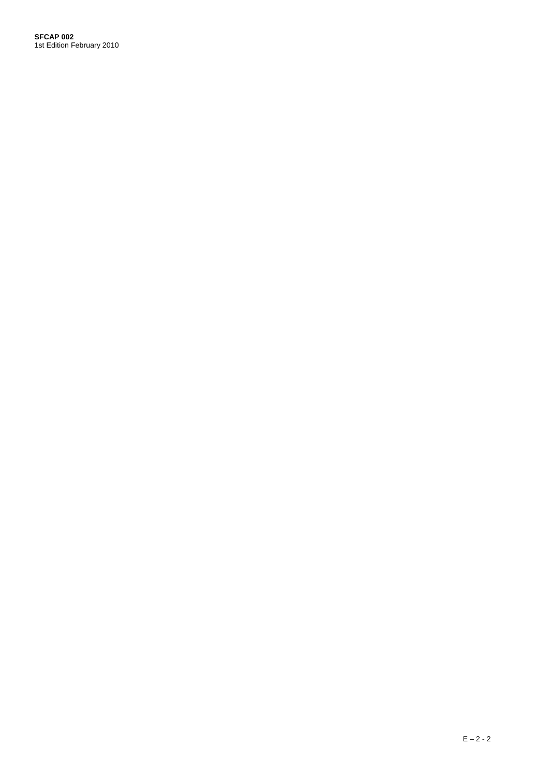SFCAP 002<br>1st Edition February 2010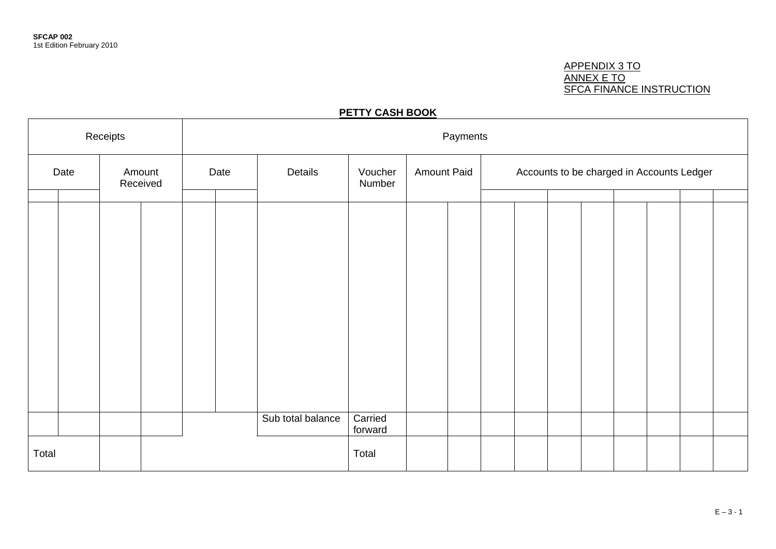#### <u>APPENDIX 3 TO</u> ANNEX E TO SFCA FINANCE INSTRUCTION

|       |      | Receipts |                    |      |                   |                    |                    | Payments |  |  |  |                                           |  |
|-------|------|----------|--------------------|------|-------------------|--------------------|--------------------|----------|--|--|--|-------------------------------------------|--|
|       | Date |          | Amount<br>Received | Date | Details           | Voucher<br>Number  | <b>Amount Paid</b> |          |  |  |  | Accounts to be charged in Accounts Ledger |  |
|       |      |          |                    |      |                   |                    |                    |          |  |  |  |                                           |  |
|       |      |          |                    |      |                   |                    |                    |          |  |  |  |                                           |  |
|       |      |          |                    |      | Sub total balance | Carried<br>forward |                    |          |  |  |  |                                           |  |
| Total |      |          |                    |      |                   | Total              |                    |          |  |  |  |                                           |  |

#### **PETTY CASH BOOK**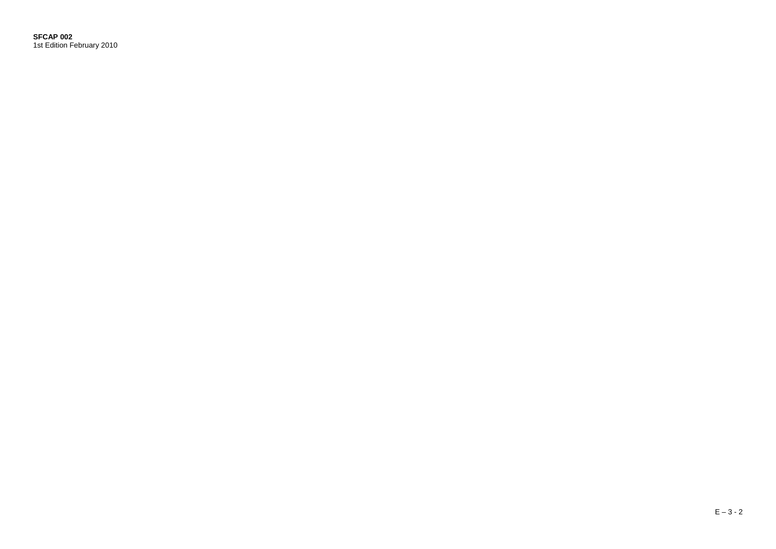SFCAP 002 1st Edition February 2010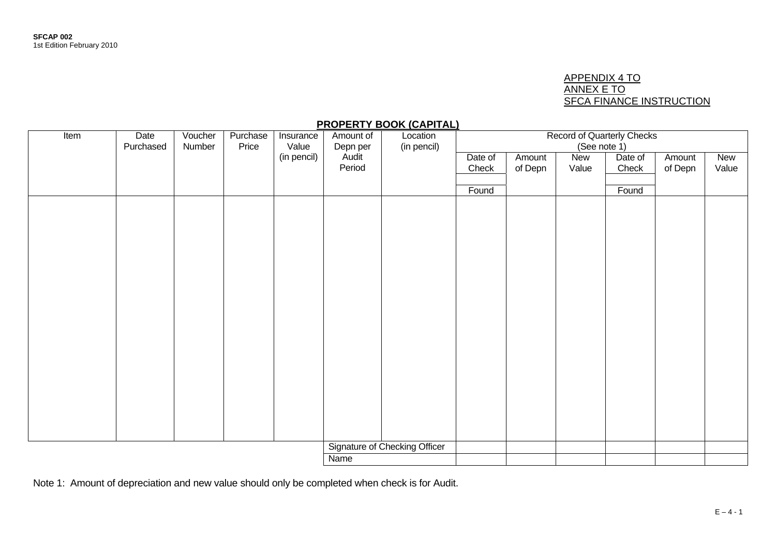## APPENDIX 4 TO <u>ANNEX E TO</u><br>SFCA FINANCE INSTRUCTION

#### **PROPERTY BOOK (CAPITAL)**

| Item | Date<br>Purchased | Voucher<br>Number | Purchase<br>Price | Insurance<br>Value | Amount of<br>Depn per | Location<br>(in pencil)       |                               |                   | (See note 1)        | <b>Record of Quarterly Checks</b> |                   |                     |
|------|-------------------|-------------------|-------------------|--------------------|-----------------------|-------------------------------|-------------------------------|-------------------|---------------------|-----------------------------------|-------------------|---------------------|
|      |                   |                   |                   | (in pencil)        | Audit<br>Period       |                               | $\overline{$ iate of<br>Check | Amount<br>of Depn | <b>New</b><br>Value | Date of<br>Check                  | Amount<br>of Depn | <b>New</b><br>Value |
|      |                   |                   |                   |                    |                       |                               |                               |                   |                     |                                   |                   |                     |
|      |                   |                   |                   |                    |                       |                               | Found                         |                   |                     | Found                             |                   |                     |
|      |                   |                   |                   |                    |                       |                               |                               |                   |                     |                                   |                   |                     |
|      |                   |                   |                   |                    |                       |                               |                               |                   |                     |                                   |                   |                     |
|      |                   |                   |                   |                    |                       |                               |                               |                   |                     |                                   |                   |                     |
|      |                   |                   |                   |                    |                       |                               |                               |                   |                     |                                   |                   |                     |
|      |                   |                   |                   |                    |                       |                               |                               |                   |                     |                                   |                   |                     |
|      |                   |                   |                   |                    |                       |                               |                               |                   |                     |                                   |                   |                     |
|      |                   |                   |                   |                    |                       |                               |                               |                   |                     |                                   |                   |                     |
|      |                   |                   |                   |                    |                       |                               |                               |                   |                     |                                   |                   |                     |
|      |                   |                   |                   |                    |                       |                               |                               |                   |                     |                                   |                   |                     |
|      |                   |                   |                   |                    |                       |                               |                               |                   |                     |                                   |                   |                     |
|      |                   |                   |                   |                    |                       |                               |                               |                   |                     |                                   |                   |                     |
|      |                   |                   |                   |                    |                       |                               |                               |                   |                     |                                   |                   |                     |
|      |                   |                   |                   |                    |                       |                               |                               |                   |                     |                                   |                   |                     |
|      |                   |                   |                   |                    |                       |                               |                               |                   |                     |                                   |                   |                     |
|      |                   |                   |                   |                    |                       |                               |                               |                   |                     |                                   |                   |                     |
|      |                   |                   |                   |                    |                       |                               |                               |                   |                     |                                   |                   |                     |
|      |                   |                   |                   |                    |                       |                               |                               |                   |                     |                                   |                   |                     |
|      |                   |                   |                   |                    |                       |                               |                               |                   |                     |                                   |                   |                     |
|      |                   |                   |                   |                    |                       | Signature of Checking Officer |                               |                   |                     |                                   |                   |                     |
|      |                   |                   |                   |                    | Name                  |                               |                               |                   |                     |                                   |                   |                     |

Note 1: Amount of depreciation and new value should only be completed when check is for Audit.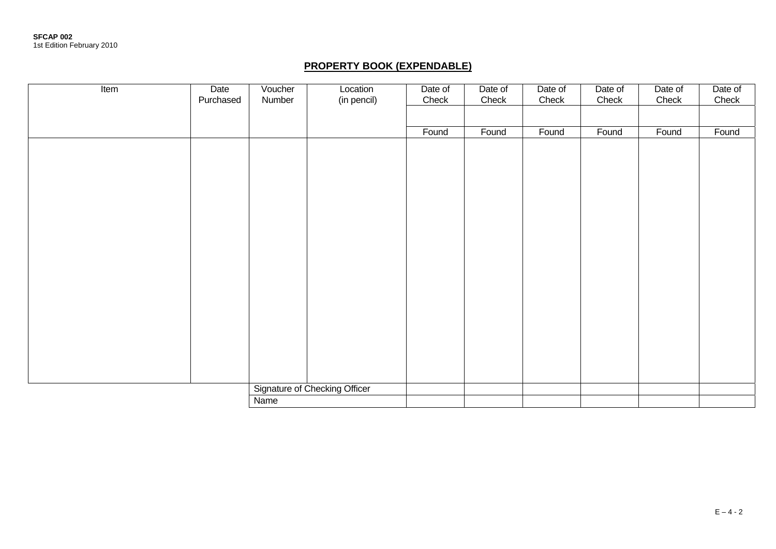#### **PROPERTY BOOK (EXPENDABLE)**

| Item | Date<br>Purchased | Voucher<br>Number | Location<br>(in pencil)       | Date of<br>Check | Date of<br>Check | Date of<br>Check | Date of<br>Check | Date of<br>Check | Date of<br>Check |
|------|-------------------|-------------------|-------------------------------|------------------|------------------|------------------|------------------|------------------|------------------|
|      |                   |                   |                               |                  |                  |                  |                  |                  |                  |
|      |                   |                   |                               |                  |                  |                  |                  |                  |                  |
|      |                   |                   |                               | Found            | Found            | Found            | Found            | Found            | Found            |
|      |                   |                   |                               |                  |                  |                  |                  |                  |                  |
|      |                   |                   |                               |                  |                  |                  |                  |                  |                  |
|      |                   |                   |                               |                  |                  |                  |                  |                  |                  |
|      |                   |                   |                               |                  |                  |                  |                  |                  |                  |
|      |                   |                   |                               |                  |                  |                  |                  |                  |                  |
|      |                   |                   |                               |                  |                  |                  |                  |                  |                  |
|      |                   |                   |                               |                  |                  |                  |                  |                  |                  |
|      |                   |                   |                               |                  |                  |                  |                  |                  |                  |
|      |                   |                   |                               |                  |                  |                  |                  |                  |                  |
|      |                   |                   |                               |                  |                  |                  |                  |                  |                  |
|      |                   |                   |                               |                  |                  |                  |                  |                  |                  |
|      |                   |                   |                               |                  |                  |                  |                  |                  |                  |
|      |                   |                   |                               |                  |                  |                  |                  |                  |                  |
|      |                   |                   |                               |                  |                  |                  |                  |                  |                  |
|      |                   |                   |                               |                  |                  |                  |                  |                  |                  |
|      |                   |                   |                               |                  |                  |                  |                  |                  |                  |
|      |                   |                   |                               |                  |                  |                  |                  |                  |                  |
|      |                   |                   | Signature of Checking Officer |                  |                  |                  |                  |                  |                  |
|      |                   | Name              |                               |                  |                  |                  |                  |                  |                  |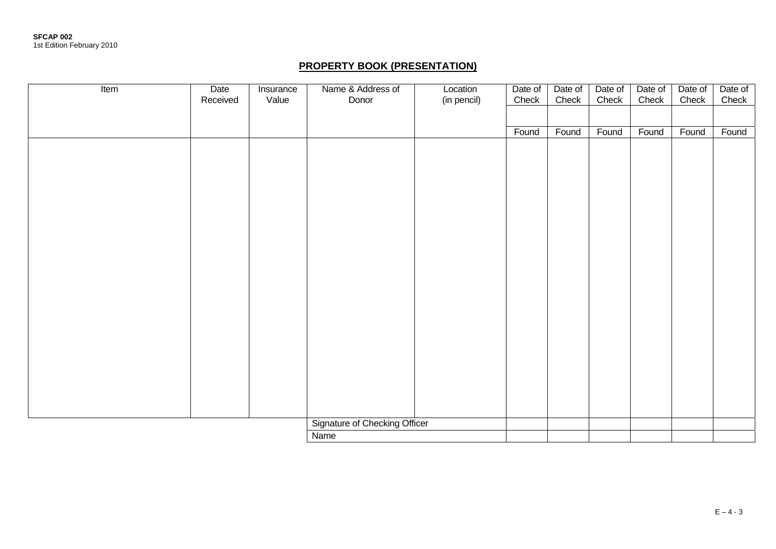#### **PROPERTY BOOK (PRESENTATION)**

| Item | Date<br>Received | Insurance<br>Value | Name & Address of<br>Donor           | Location<br>(in pencil) | Date of<br>Check | Date of<br>Check | Date of<br>Check | Date of<br>Check | Date of<br>Check | Date of<br>Check |
|------|------------------|--------------------|--------------------------------------|-------------------------|------------------|------------------|------------------|------------------|------------------|------------------|
|      |                  |                    |                                      |                         |                  |                  |                  |                  |                  |                  |
|      |                  |                    |                                      |                         |                  |                  |                  |                  |                  |                  |
|      |                  |                    |                                      |                         | Found            | Found            | Found            | Found            | Found            | Found            |
|      |                  |                    |                                      |                         |                  |                  |                  |                  |                  |                  |
|      |                  |                    |                                      |                         |                  |                  |                  |                  |                  |                  |
|      |                  |                    |                                      |                         |                  |                  |                  |                  |                  |                  |
|      |                  |                    |                                      |                         |                  |                  |                  |                  |                  |                  |
|      |                  |                    |                                      |                         |                  |                  |                  |                  |                  |                  |
|      |                  |                    |                                      |                         |                  |                  |                  |                  |                  |                  |
|      |                  |                    |                                      |                         |                  |                  |                  |                  |                  |                  |
|      |                  |                    |                                      |                         |                  |                  |                  |                  |                  |                  |
|      |                  |                    |                                      |                         |                  |                  |                  |                  |                  |                  |
|      |                  |                    |                                      |                         |                  |                  |                  |                  |                  |                  |
|      |                  |                    |                                      |                         |                  |                  |                  |                  |                  |                  |
|      |                  |                    |                                      |                         |                  |                  |                  |                  |                  |                  |
|      |                  |                    |                                      |                         |                  |                  |                  |                  |                  |                  |
|      |                  |                    |                                      |                         |                  |                  |                  |                  |                  |                  |
|      |                  |                    |                                      |                         |                  |                  |                  |                  |                  |                  |
|      |                  |                    |                                      |                         |                  |                  |                  |                  |                  |                  |
|      |                  |                    |                                      |                         |                  |                  |                  |                  |                  |                  |
|      |                  |                    |                                      |                         |                  |                  |                  |                  |                  |                  |
|      |                  |                    |                                      |                         |                  |                  |                  |                  |                  |                  |
|      |                  |                    | <b>Signature of Checking Officer</b> |                         |                  |                  |                  |                  |                  |                  |
|      |                  |                    | Name                                 |                         |                  |                  |                  |                  |                  |                  |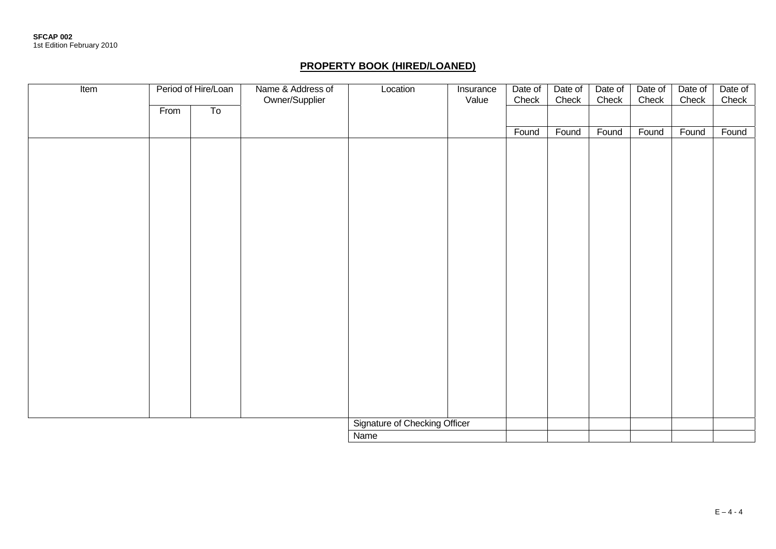#### **PROPERTY BOOK (HIRED/LOANED)**

| Item |      | Period of Hire/Loan | Name & Address of<br>Owner/Supplier | Location                      | Insurance<br>Value | Date of<br>Check | Date of<br>Check | Date of<br>Check | Date of<br>Check | Date of<br>Check | Date of<br>Check |
|------|------|---------------------|-------------------------------------|-------------------------------|--------------------|------------------|------------------|------------------|------------------|------------------|------------------|
|      | From | $\overline{10}$     |                                     |                               |                    |                  |                  |                  |                  |                  |                  |
|      |      |                     |                                     |                               |                    | Found            | Found            | Found            | Found            | Found            | Found            |
|      |      |                     |                                     |                               |                    |                  |                  |                  |                  |                  |                  |
|      |      |                     |                                     |                               |                    |                  |                  |                  |                  |                  |                  |
|      |      |                     |                                     |                               |                    |                  |                  |                  |                  |                  |                  |
|      |      |                     |                                     |                               |                    |                  |                  |                  |                  |                  |                  |
|      |      |                     |                                     |                               |                    |                  |                  |                  |                  |                  |                  |
|      |      |                     |                                     |                               |                    |                  |                  |                  |                  |                  |                  |
|      |      |                     |                                     |                               |                    |                  |                  |                  |                  |                  |                  |
|      |      |                     |                                     |                               |                    |                  |                  |                  |                  |                  |                  |
|      |      |                     |                                     |                               |                    |                  |                  |                  |                  |                  |                  |
|      |      |                     |                                     |                               |                    |                  |                  |                  |                  |                  |                  |
|      |      |                     |                                     |                               |                    |                  |                  |                  |                  |                  |                  |
|      |      |                     |                                     |                               |                    |                  |                  |                  |                  |                  |                  |
|      |      |                     |                                     |                               |                    |                  |                  |                  |                  |                  |                  |
|      |      |                     |                                     |                               |                    |                  |                  |                  |                  |                  |                  |
|      |      |                     |                                     |                               |                    |                  |                  |                  |                  |                  |                  |
|      |      |                     |                                     | Signature of Checking Officer |                    |                  |                  |                  |                  |                  |                  |
|      |      |                     |                                     | Name                          |                    |                  |                  |                  |                  |                  |                  |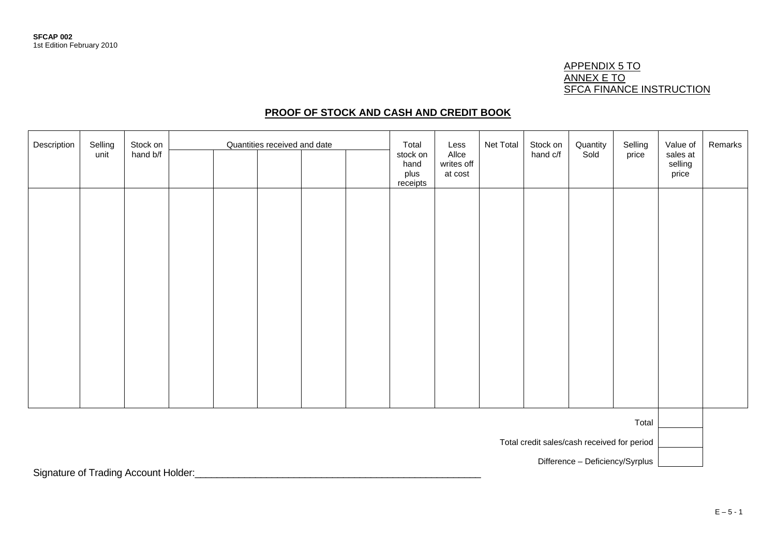#### <u>APPENDIX 5 TO</u> ANNEX E TO SFCA FINANCE INSTRUCTION

#### **PROOF OF STOCK AND CASH AND CREDIT BOOK**

| Description                                          | Selling<br>unit | Stock on<br>hand b/f |  |  | Quantities received and date |  |  | Total<br>stock on<br>hand<br>plus<br>receipts | Less<br>Allce<br>writes off<br>at cost | Net Total | Stock on<br>hand c/f | Quantity<br>Sold | Selling<br>price | Value of<br>sales at<br>selling<br>price | Remarks |
|------------------------------------------------------|-----------------|----------------------|--|--|------------------------------|--|--|-----------------------------------------------|----------------------------------------|-----------|----------------------|------------------|------------------|------------------------------------------|---------|
|                                                      |                 |                      |  |  |                              |  |  |                                               |                                        |           |                      |                  |                  |                                          |         |
|                                                      |                 |                      |  |  |                              |  |  |                                               |                                        |           |                      |                  |                  |                                          |         |
|                                                      |                 |                      |  |  |                              |  |  |                                               |                                        |           |                      |                  |                  |                                          |         |
|                                                      |                 |                      |  |  |                              |  |  |                                               |                                        |           |                      |                  |                  |                                          |         |
| Total<br>Total credit sales/cash received for period |                 |                      |  |  |                              |  |  |                                               |                                        |           |                      |                  |                  |                                          |         |

Difference – Deficiency/Syrplus

Signature of Trading Account Holder:\_\_\_\_\_\_\_\_\_\_\_\_\_\_\_\_\_\_\_\_\_\_\_\_\_\_\_\_\_\_\_\_\_\_\_\_\_\_\_\_\_\_\_\_\_\_\_\_\_\_\_\_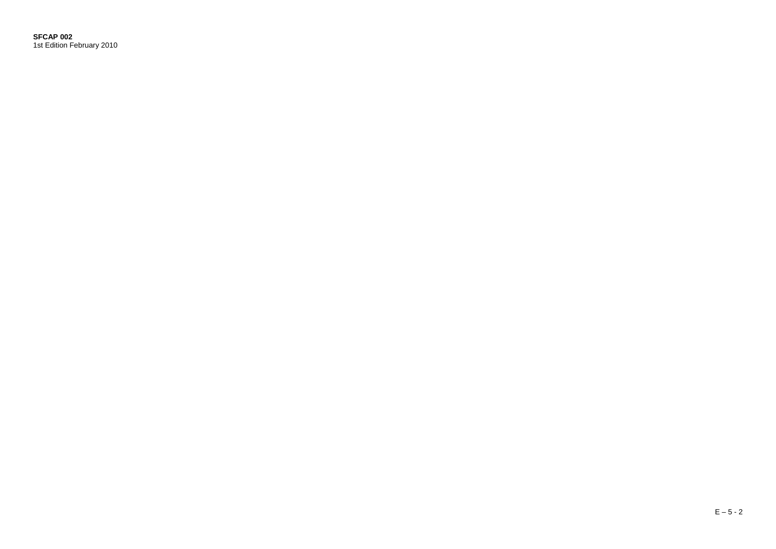SFCAP 002 1st Edition February 2010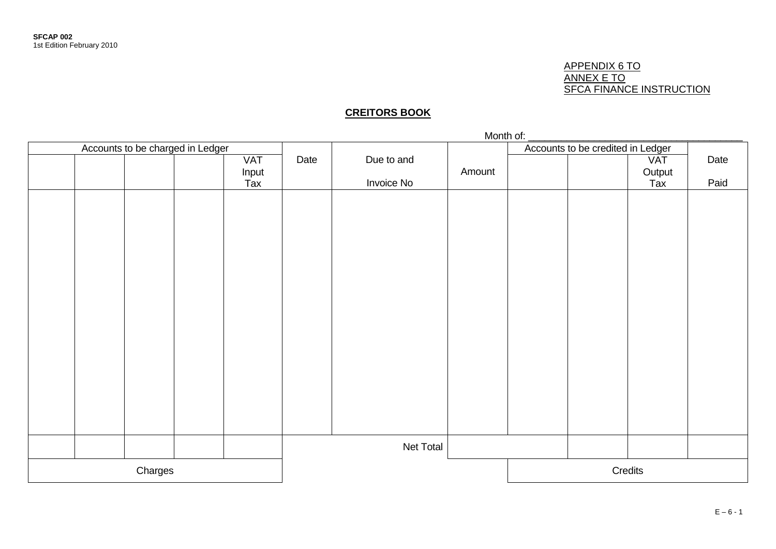### <u>APPENDIX 6 TO</u><br>ANNEX E TO SFCA FINANCE INSTRUCTION

#### **CREITORS BOOK**

|                                  |                     |      |            | Month of: |                                   |               |      |
|----------------------------------|---------------------|------|------------|-----------|-----------------------------------|---------------|------|
| Accounts to be charged in Ledger |                     |      |            |           | Accounts to be credited in Ledger |               |      |
|                                  | <b>VAT</b><br>Input | Date | Due to and | Amount    |                                   | VAT<br>Output | Date |
|                                  | Tax                 |      | Invoice No |           |                                   | Tax           | Paid |
|                                  |                     |      |            |           |                                   |               |      |
|                                  |                     |      | Net Total  |           |                                   |               |      |
|                                  |                     |      |            |           |                                   |               |      |
| Charges                          |                     |      |            |           |                                   | Credits       |      |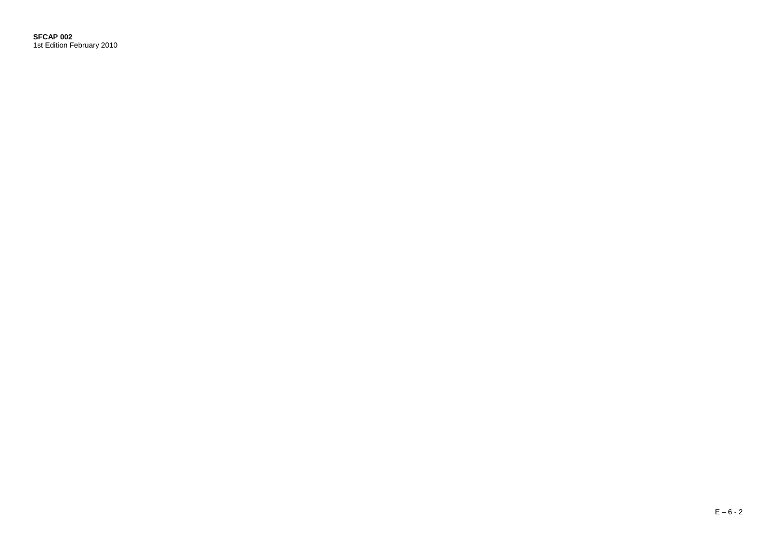SFCAP 002 1st Edition February 2010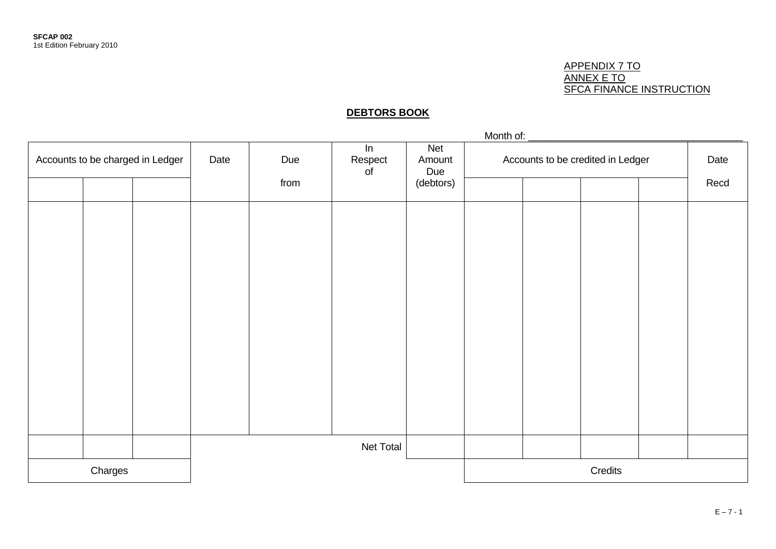#### <u>APPENDIX 7 TO</u> ANNEX E TO SFCA FINANCE INSTRUCTION

#### **DEBTORS BOOK**

|                                  |  |      |      |                        |                      | Month of: |                                   |      |
|----------------------------------|--|------|------|------------------------|----------------------|-----------|-----------------------------------|------|
| Accounts to be charged in Ledger |  | Date | Due  | $\ln$<br>Respect<br>of | Net<br>Amount<br>Due |           | Accounts to be credited in Ledger | Date |
|                                  |  |      | from |                        | (debtors)            |           |                                   | Recd |
|                                  |  |      |      |                        |                      |           |                                   |      |
|                                  |  |      |      |                        |                      |           |                                   |      |
|                                  |  |      |      |                        |                      |           |                                   |      |
|                                  |  |      |      |                        |                      |           |                                   |      |
|                                  |  |      |      |                        |                      |           |                                   |      |
|                                  |  |      |      |                        |                      |           |                                   |      |
|                                  |  |      |      |                        |                      |           |                                   |      |
|                                  |  |      |      |                        |                      |           |                                   |      |
|                                  |  |      |      |                        |                      |           |                                   |      |
|                                  |  |      |      |                        |                      |           |                                   |      |
|                                  |  |      |      | <b>Net Total</b>       |                      |           |                                   |      |
| Charges                          |  |      |      |                        |                      |           | Credits                           |      |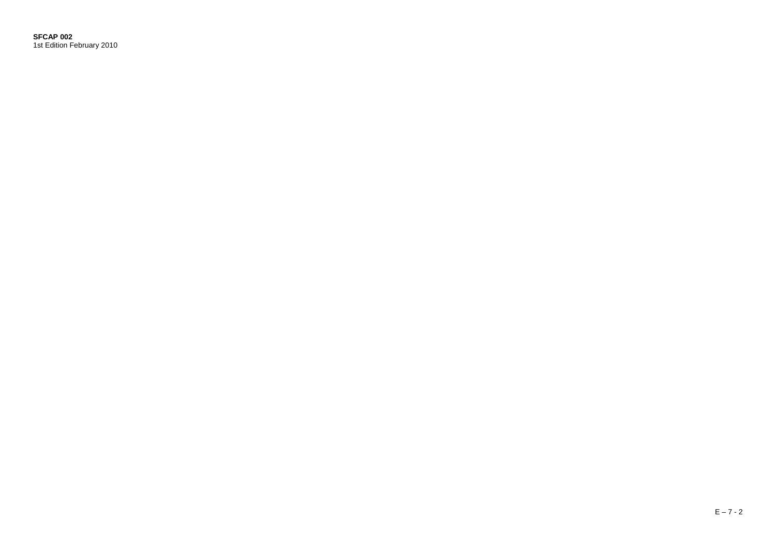SFCAP 002 1st Edition February 2010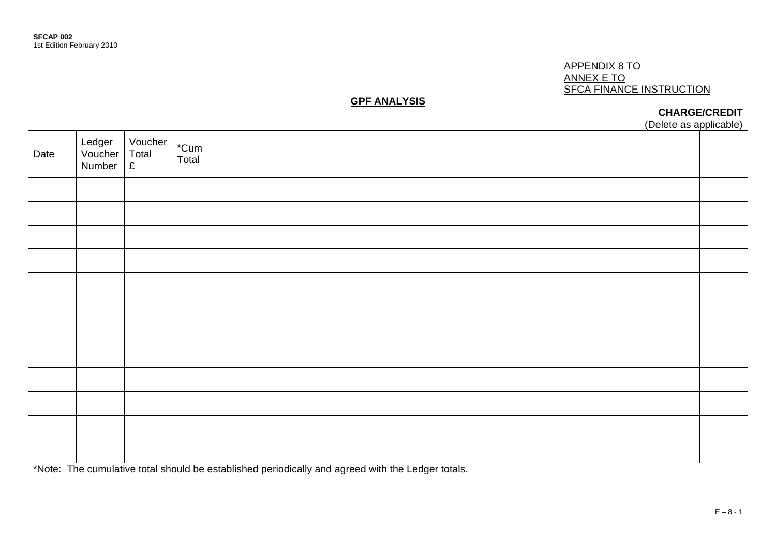#### <u>APPENDIX 8 TO</u> ANNEX E TO SFCA FINANCE INSTRUCTION

#### **GPF ANALYSIS**

#### **CHARGE/CREDIT**

(Delete as applicable)

|      |                                             |               |  |  |  |  | $\left\lfloor -\frac{1}{2} \right\rfloor$ |  |
|------|---------------------------------------------|---------------|--|--|--|--|-------------------------------------------|--|
| Date | Ledger Voucher<br>Voucher Total<br>Number E | *Cum<br>Total |  |  |  |  |                                           |  |
|      |                                             |               |  |  |  |  |                                           |  |
|      |                                             |               |  |  |  |  |                                           |  |
|      |                                             |               |  |  |  |  |                                           |  |
|      |                                             |               |  |  |  |  |                                           |  |
|      |                                             |               |  |  |  |  |                                           |  |
|      |                                             |               |  |  |  |  |                                           |  |
|      |                                             |               |  |  |  |  |                                           |  |
|      |                                             |               |  |  |  |  |                                           |  |
|      |                                             |               |  |  |  |  |                                           |  |
|      |                                             |               |  |  |  |  |                                           |  |
|      |                                             |               |  |  |  |  |                                           |  |
|      |                                             |               |  |  |  |  |                                           |  |

\*Note: The cumulative total should be established periodically and agreed with the Ledger totals.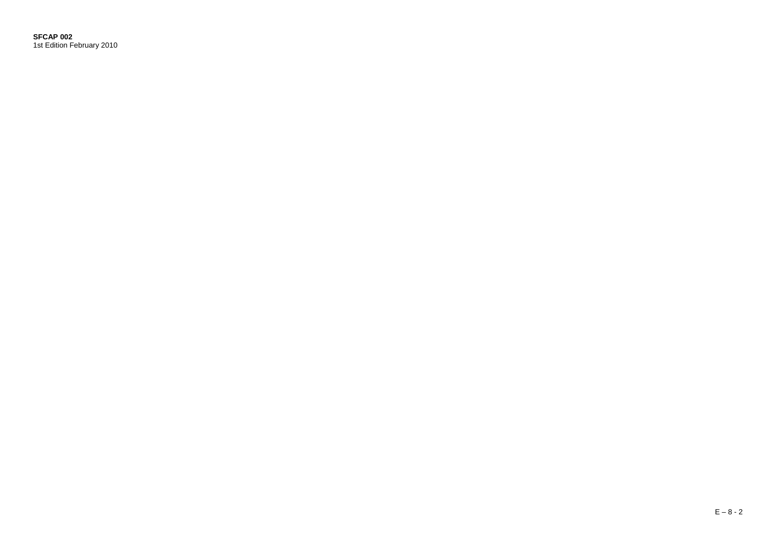SFCAP 002 1st Edition February 2010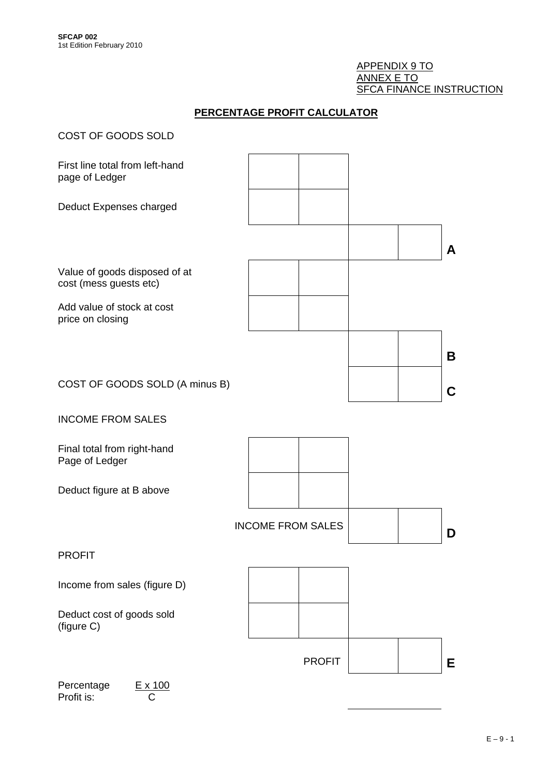Profit is:

#### APPENDIX 9 TO ANNEX E TO **SFCA FINANCE INSTRUCTION**

#### **PERCENTAGE PROFIT CALCULATOR**

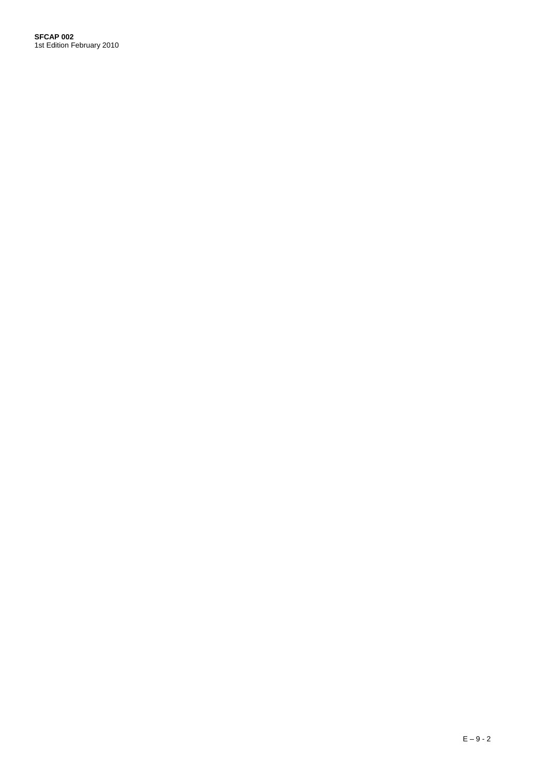SFCAP 002<br>1st Edition February 2010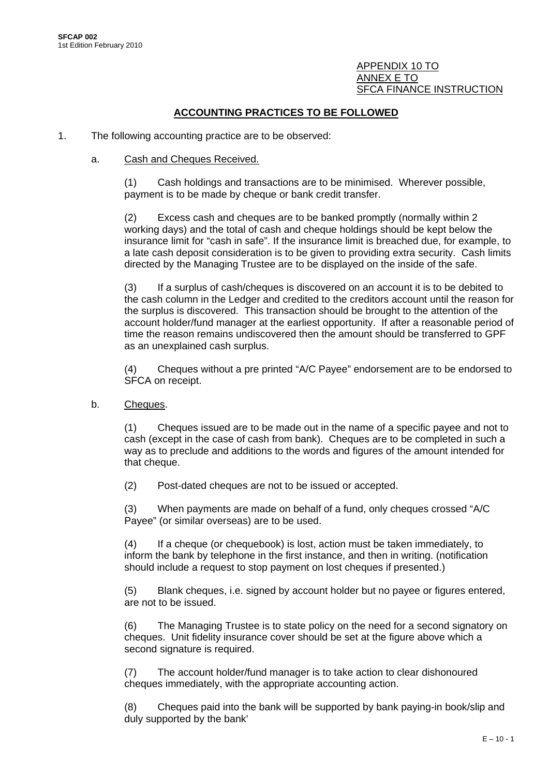#### APPENDIX 10 TO ANNEX E TO **SFCA FINANCE INSTRUCTION**

#### **ACCOUNTING PRACTICES TO BE FOLLOWED**

1. The following accounting practice are to be observed:

#### a. Cash and Cheques Received.

(1) Cash holdings and transactions are to be minimised. Wherever possible, payment is to be made by cheque or bank credit transfer.

(2) Excess cash and cheques are to be banked promptly (normally within 2 working days) and the total of cash and cheque holdings should be kept below the insurance limit for "cash in safe". If the insurance limit is breached due, for example, to a late cash deposit consideration is to be given to providing extra security. Cash limits directed by the Managing Trustee are to be displayed on the inside of the safe.

(3) If a surplus of cash/cheques is discovered on an account it is to be debited to the cash column in the Ledger and credited to the creditors account until the reason for the surplus is discovered. This transaction should be brought to the attention of the account holder/fund manager at the earliest opportunity. If after a reasonable period of time the reason remains undiscovered then the amount should be transferred to GPF as an unexplained cash surplus.

(4) Cheques without a pre printed "A/C Payee" endorsement are to be endorsed to SFCA on receipt.

b. Cheques.

(1) Cheques issued are to be made out in the name of a specific payee and not to cash (except in the case of cash from bank). Cheques are to be completed in such a way as to preclude and additions to the words and figures of the amount intended for that cheque.

(2) Post-dated cheques are not to be issued or accepted.

(3) When payments are made on behalf of a fund, only cheques crossed "A/C Payee" (or similar overseas) are to be used.

(4) If a cheque (or chequebook) is lost, action must be taken immediately, to inform the bank by telephone in the first instance, and then in writing. (notification should include a request to stop payment on lost cheques if presented.)

(5) Blank cheques, i.e. signed by account holder but no payee or figures entered, are not to be issued.

(6) The Managing Trustee is to state policy on the need for a second signatory on cheques. Unit fidelity insurance cover should be set at the figure above which a second signature is required.

(7) The account holder/fund manager is to take action to clear dishonoured cheques immediately, with the appropriate accounting action.

(8) Cheques paid into the bank will be supported by bank paying-in book/slip and duly supported by the bank'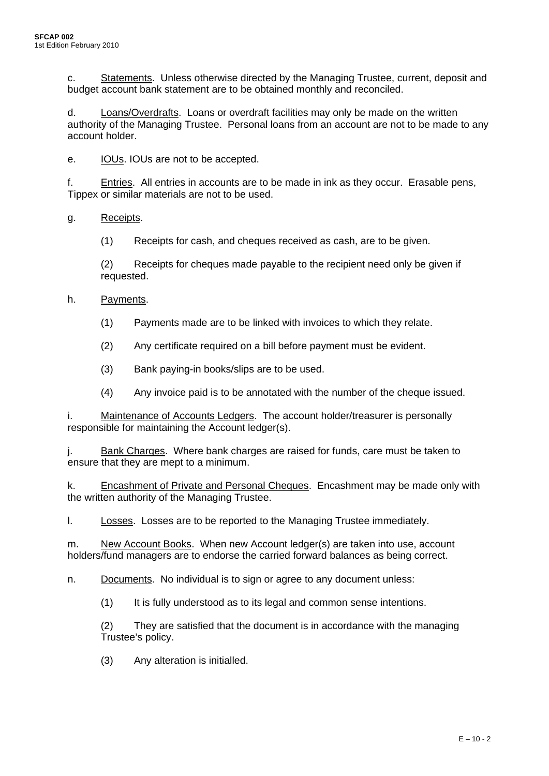c. Statements. Unless otherwise directed by the Managing Trustee, current, deposit and budget account bank statement are to be obtained monthly and reconciled.

d. Loans/Overdrafts. Loans or overdraft facilities may only be made on the written authority of the Managing Trustee. Personal loans from an account are not to be made to any account holder.

e. IOUs. IOUs are not to be accepted.

f. Entries. All entries in accounts are to be made in ink as they occur. Erasable pens, Tippex or similar materials are not to be used.

#### g. Receipts.

(1) Receipts for cash, and cheques received as cash, are to be given.

(2) Receipts for cheques made payable to the recipient need only be given if requested.

#### h. Payments.

- (1) Payments made are to be linked with invoices to which they relate.
- (2) Any certificate required on a bill before payment must be evident.
- (3) Bank paying-in books/slips are to be used.
- (4) Any invoice paid is to be annotated with the number of the cheque issued.

i. Maintenance of Accounts Ledgers. The account holder/treasurer is personally responsible for maintaining the Account ledger(s).

j. Bank Charges. Where bank charges are raised for funds, care must be taken to ensure that they are mept to a minimum.

k. Encashment of Private and Personal Cheques. Encashment may be made only with the written authority of the Managing Trustee.

l. Losses. Losses are to be reported to the Managing Trustee immediately.

m. New Account Books. When new Account ledger(s) are taken into use, account holders/fund managers are to endorse the carried forward balances as being correct.

n. Documents. No individual is to sign or agree to any document unless:

(1) It is fully understood as to its legal and common sense intentions.

(2) They are satisfied that the document is in accordance with the managing Trustee's policy.

(3) Any alteration is initialled.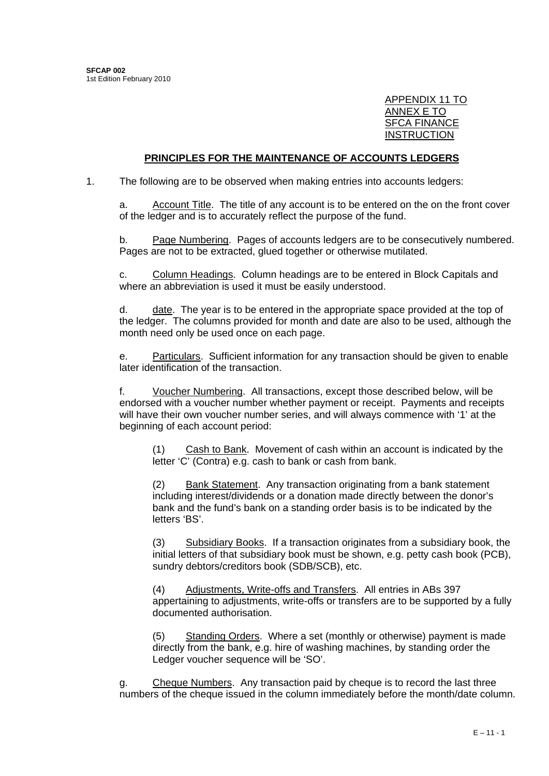#### APPENDIX 11 TO ANNEX E TO SFCA FINANCE **INSTRUCTION**

#### **PRINCIPLES FOR THE MAINTENANCE OF ACCOUNTS LEDGERS**

1. The following are to be observed when making entries into accounts ledgers:

a. Account Title. The title of any account is to be entered on the on the front cover of the ledger and is to accurately reflect the purpose of the fund.

b. Page Numbering. Pages of accounts ledgers are to be consecutively numbered. Pages are not to be extracted, glued together or otherwise mutilated.

c. Column Headings. Column headings are to be entered in Block Capitals and where an abbreviation is used it must be easily understood.

d. date. The year is to be entered in the appropriate space provided at the top of the ledger. The columns provided for month and date are also to be used, although the month need only be used once on each page.

e. Particulars. Sufficient information for any transaction should be given to enable later identification of the transaction.

f. Voucher Numbering. All transactions, except those described below, will be endorsed with a voucher number whether payment or receipt. Payments and receipts will have their own voucher number series, and will always commence with '1' at the beginning of each account period:

(1) Cash to Bank. Movement of cash within an account is indicated by the letter 'C' (Contra) e.g. cash to bank or cash from bank.

(2) Bank Statement. Any transaction originating from a bank statement including interest/dividends or a donation made directly between the donor's bank and the fund's bank on a standing order basis is to be indicated by the letters 'BS'.

(3) Subsidiary Books. If a transaction originates from a subsidiary book, the initial letters of that subsidiary book must be shown, e.g. petty cash book (PCB), sundry debtors/creditors book (SDB/SCB), etc.

(4) Adjustments, Write-offs and Transfers. All entries in ABs 397 appertaining to adjustments, write-offs or transfers are to be supported by a fully documented authorisation.

(5) Standing Orders. Where a set (monthly or otherwise) payment is made directly from the bank, e.g. hire of washing machines, by standing order the Ledger voucher sequence will be 'SO'.

g. Cheque Numbers. Any transaction paid by cheque is to record the last three numbers of the cheque issued in the column immediately before the month/date column.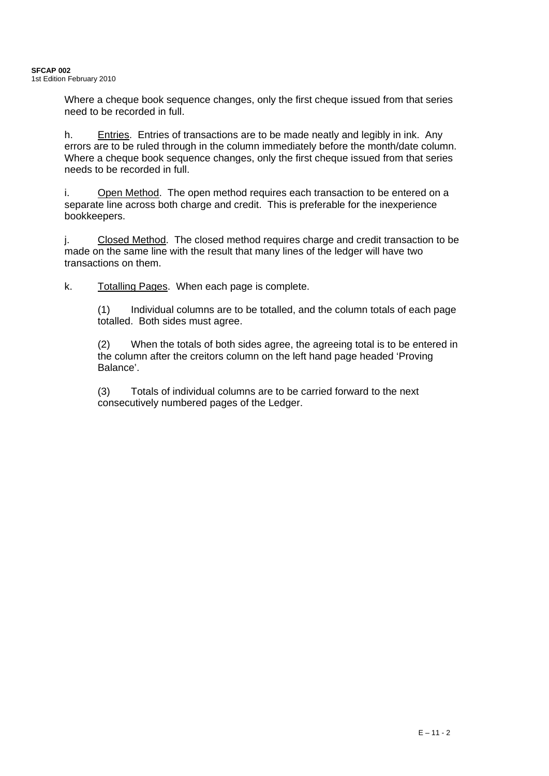Where a cheque book sequence changes, only the first cheque issued from that series need to be recorded in full.

h. Entries. Entries of transactions are to be made neatly and legibly in ink. Any errors are to be ruled through in the column immediately before the month/date column. Where a cheque book sequence changes, only the first cheque issued from that series needs to be recorded in full.

i. Open Method. The open method requires each transaction to be entered on a separate line across both charge and credit. This is preferable for the inexperience bookkeepers.

j. Closed Method. The closed method requires charge and credit transaction to be made on the same line with the result that many lines of the ledger will have two transactions on them.

k. Totalling Pages. When each page is complete.

(1) Individual columns are to be totalled, and the column totals of each page totalled. Both sides must agree.

(2) When the totals of both sides agree, the agreeing total is to be entered in the column after the creitors column on the left hand page headed 'Proving Balance'.

(3) Totals of individual columns are to be carried forward to the next consecutively numbered pages of the Ledger.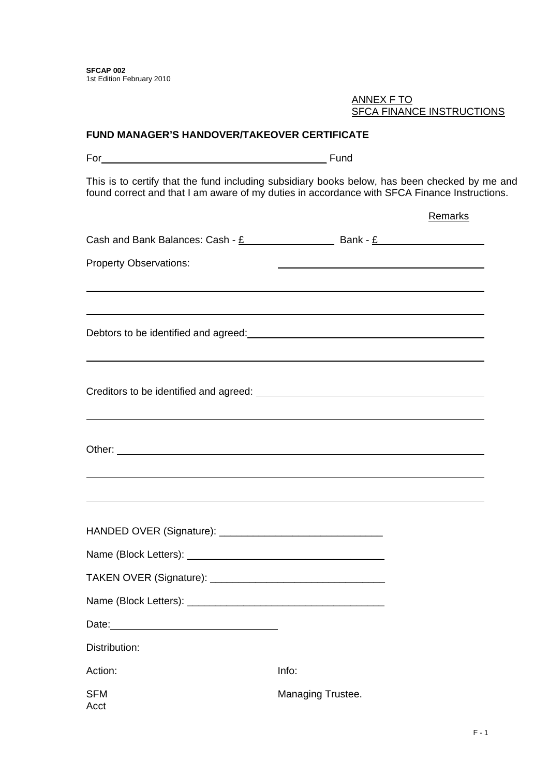ANNEX F TO **SFCA FINANCE INSTRUCTIONS** 

#### **FUND MANAGER'S HANDOVER/TAKEOVER CERTIFICATE**

For \_\_\_\_\_\_\_\_\_\_\_\_\_\_\_\_\_\_\_\_\_\_ Fund

This is to certify that the fund including subsidiary books below, has been checked by me and found correct and that I am aware of my duties in accordance with SFCA Finance Instructions.

|                                                                                                                                                                                                                                |                   | <b>Remarks</b> |
|--------------------------------------------------------------------------------------------------------------------------------------------------------------------------------------------------------------------------------|-------------------|----------------|
| Cash and Bank Balances: Cash - $\underline{E}$ Bank - $\underline{E}$ Bank - $\underline{E}$                                                                                                                                   |                   |                |
| <b>Property Observations:</b>                                                                                                                                                                                                  |                   |                |
|                                                                                                                                                                                                                                |                   |                |
| <u> 1989 - Johann Stoff, amerikansk politiker (d. 1989)</u>                                                                                                                                                                    |                   |                |
| Debtors to be identified and agreed: Debtor and the state of the state of the state of the state of the state of the state of the state of the state of the state of the state of the state of the state of the state of the s |                   |                |
|                                                                                                                                                                                                                                |                   |                |
|                                                                                                                                                                                                                                |                   |                |
|                                                                                                                                                                                                                                |                   |                |
| ,我们也不会有什么。""我们的人,我们也不会有什么?""我们的人,我们也不会有什么?""我们的人,我们也不会有什么?""我们的人,我们也不会有什么?""我们的人                                                                                                                                               |                   |                |
|                                                                                                                                                                                                                                |                   |                |
| <u> 1990 - Jan Salaman Salaman (j. 1980).</u><br>1901 - Johann John Stone, francuski politik (f. 1902).                                                                                                                        |                   |                |
| <u> 1989 - Johann Stoff, amerikansk politiker (d. 1989)</u>                                                                                                                                                                    |                   |                |
|                                                                                                                                                                                                                                |                   |                |
|                                                                                                                                                                                                                                |                   |                |
|                                                                                                                                                                                                                                |                   |                |
|                                                                                                                                                                                                                                |                   |                |
| Date: <u>____________________</u>                                                                                                                                                                                              |                   |                |
| Distribution:                                                                                                                                                                                                                  |                   |                |
| Action:                                                                                                                                                                                                                        | Info:             |                |
| <b>SFM</b><br>Acct                                                                                                                                                                                                             | Managing Trustee. |                |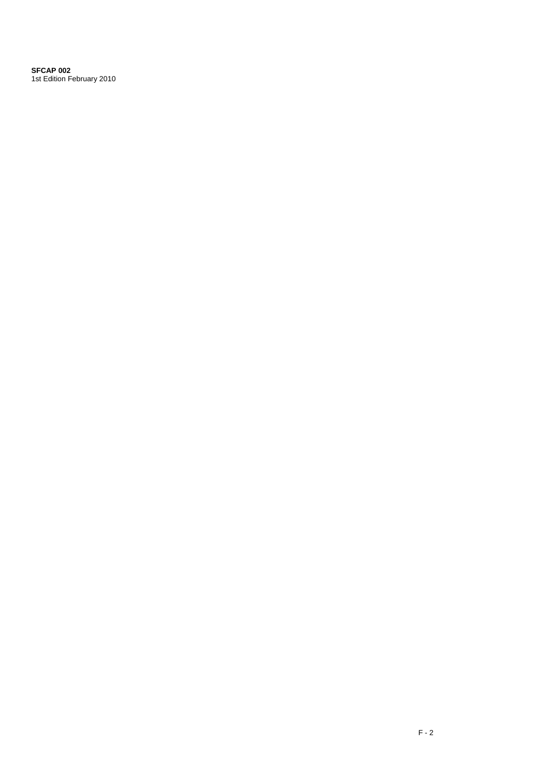**SFCAP 002**  1st Edition February 2010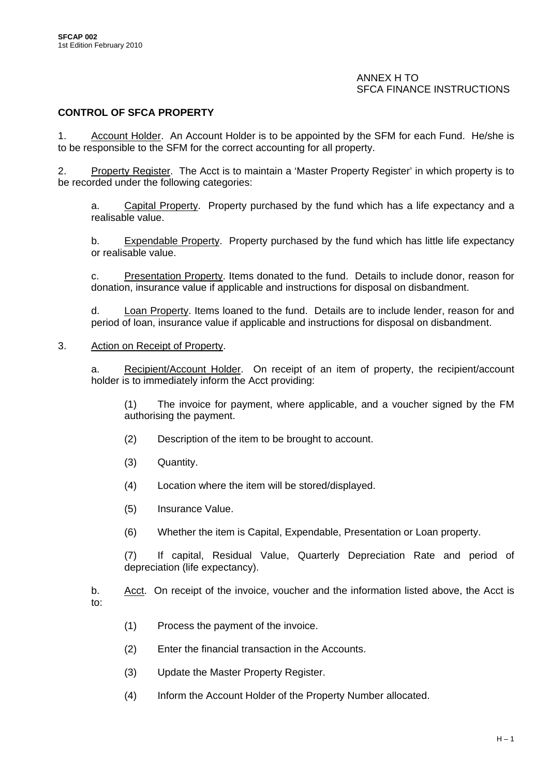#### ANNEX H TO SFCA FINANCE INSTRUCTIONS

#### **CONTROL OF SFCA PROPERTY**

1. Account Holder. An Account Holder is to be appointed by the SFM for each Fund. He/she is to be responsible to the SFM for the correct accounting for all property.

2. Property Register. The Acct is to maintain a 'Master Property Register' in which property is to be recorded under the following categories:

a. Capital Property. Property purchased by the fund which has a life expectancy and a realisable value.

b. Expendable Property. Property purchased by the fund which has little life expectancy or realisable value.

c. Presentation Property. Items donated to the fund. Details to include donor, reason for donation, insurance value if applicable and instructions for disposal on disbandment.

d. Loan Property. Items loaned to the fund. Details are to include lender, reason for and period of loan, insurance value if applicable and instructions for disposal on disbandment.

#### 3. Action on Receipt of Property.

a. Recipient/Account Holder. On receipt of an item of property, the recipient/account holder is to immediately inform the Acct providing:

(1) The invoice for payment, where applicable, and a voucher signed by the FM authorising the payment.

- (2) Description of the item to be brought to account.
- (3) Quantity.
- (4) Location where the item will be stored/displayed.
- (5) Insurance Value.
- (6) Whether the item is Capital, Expendable, Presentation or Loan property.

(7) If capital, Residual Value, Quarterly Depreciation Rate and period of depreciation (life expectancy).

b. Acct. On receipt of the invoice, voucher and the information listed above, the Acct is to:

- (1) Process the payment of the invoice.
- (2) Enter the financial transaction in the Accounts.
- (3) Update the Master Property Register.
- (4) Inform the Account Holder of the Property Number allocated.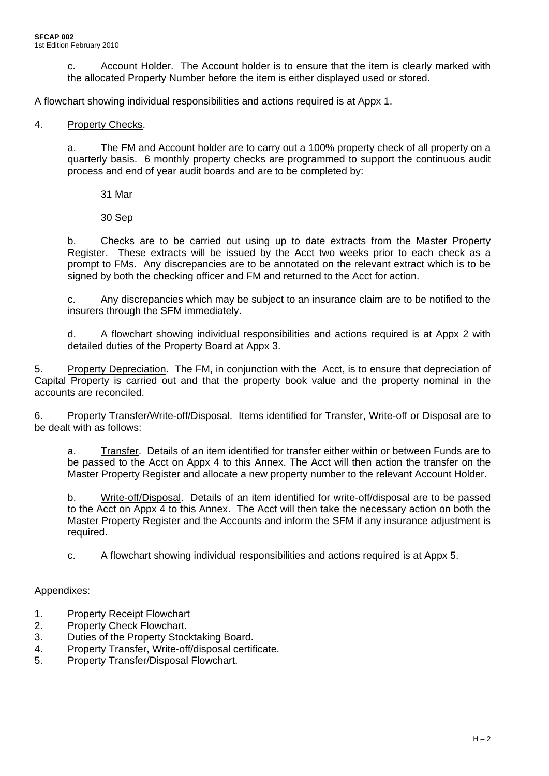c. Account Holder. The Account holder is to ensure that the item is clearly marked with the allocated Property Number before the item is either displayed used or stored.

A flowchart showing individual responsibilities and actions required is at Appx 1.

#### 4. Property Checks.

a. The FM and Account holder are to carry out a 100% property check of all property on a quarterly basis. 6 monthly property checks are programmed to support the continuous audit process and end of year audit boards and are to be completed by:

31 Mar

30 Sep

b. Checks are to be carried out using up to date extracts from the Master Property Register. These extracts will be issued by the Acct two weeks prior to each check as a prompt to FMs. Any discrepancies are to be annotated on the relevant extract which is to be signed by both the checking officer and FM and returned to the Acct for action.

c. Any discrepancies which may be subject to an insurance claim are to be notified to the insurers through the SFM immediately.

d. A flowchart showing individual responsibilities and actions required is at Appx 2 with detailed duties of the Property Board at Appx 3.

5. Property Depreciation. The FM, in conjunction with the Acct, is to ensure that depreciation of Capital Property is carried out and that the property book value and the property nominal in the accounts are reconciled.

6. Property Transfer/Write-off/Disposal. Items identified for Transfer, Write-off or Disposal are to be dealt with as follows:

a. Transfer. Details of an item identified for transfer either within or between Funds are to be passed to the Acct on Appx 4 to this Annex. The Acct will then action the transfer on the Master Property Register and allocate a new property number to the relevant Account Holder.

b. Write-off/Disposal. Details of an item identified for write-off/disposal are to be passed to the Acct on Appx 4 to this Annex. The Acct will then take the necessary action on both the Master Property Register and the Accounts and inform the SFM if any insurance adjustment is required.

c. A flowchart showing individual responsibilities and actions required is at Appx 5.

Appendixes:

- 1. Property Receipt Flowchart
- 2. Property Check Flowchart.
- 3. Duties of the Property Stocktaking Board.
- 4. Property Transfer, Write-off/disposal certificate.
- 5. Property Transfer/Disposal Flowchart.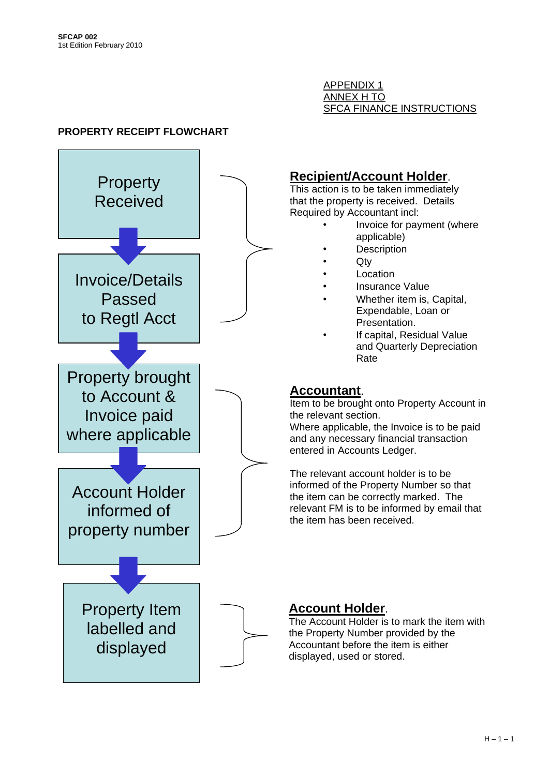#### APPENDIX 1 ANNEX H TO **SFCA FINANCE INSTRUCTIONS**

#### **PROPERTY RECEIPT FLOWCHART**



### **Recipient/Account Holder**.

This action is to be taken immediately that the property is received. Details Required by Accountant incl:

- Invoice for payment (where applicable)
- **Description**
- **Qty**
- **Location**
- Insurance Value
- Whether item is, Capital, Expendable, Loan or Presentation.
- If capital, Residual Value and Quarterly Depreciation Rate

#### **Accountant**.

Item to be brought onto Property Account in the relevant section.

Where applicable, the Invoice is to be paid and any necessary financial transaction entered in Accounts Ledger.

The relevant account holder is to be informed of the Property Number so that the item can be correctly marked. The relevant FM is to be informed by email that the item has been received.

#### **Account Holder**.

The Account Holder is to mark the item with the Property Number provided by the Accountant before the item is either displayed, used or stored.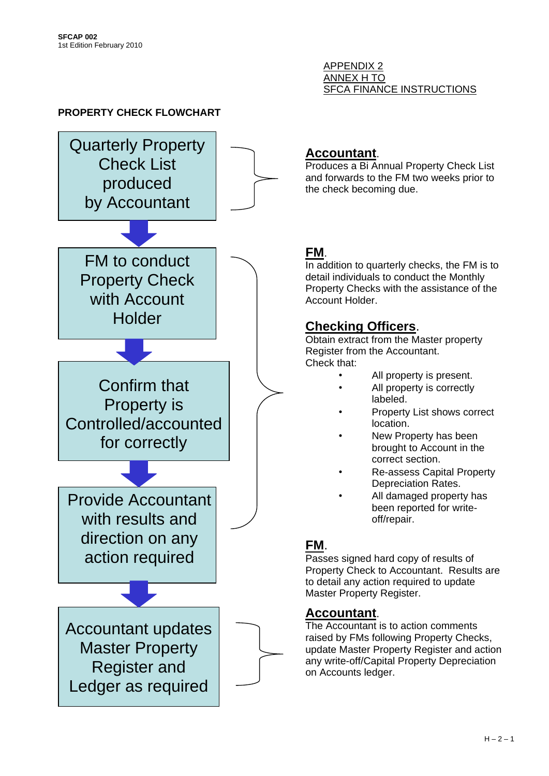#### **PROPERTY CHECK FLOWCHART**



#### APPENDIX 2 ANNEX H TO SFCA FINANCE INSTRUCTIONS

### **Accountant**.

Produces a Bi Annual Property Check List and forwards to the FM two weeks prior to the check becoming due.

### **FM**.

In addition to quarterly checks, the FM is to detail individuals to conduct the Monthly Property Checks with the assistance of the Account Holder.

### **Checking Officers**.

Obtain extract from the Master property Register from the Accountant. Check that:

- All property is present.
- All property is correctly labeled.
- Property List shows correct location.
- New Property has been brought to Account in the correct section.
- Re-assess Capital Property Depreciation Rates.
- All damaged property has been reported for writeoff/repair.

**FM**. Passes signed hard copy of results of Property Check to Accountant. Results are to detail any action required to update Master Property Register.

### **Accountant**.

The Accountant is to action comments raised by FMs following Property Checks, update Master Property Register and action any write-off/Capital Property Depreciation on Accounts ledger.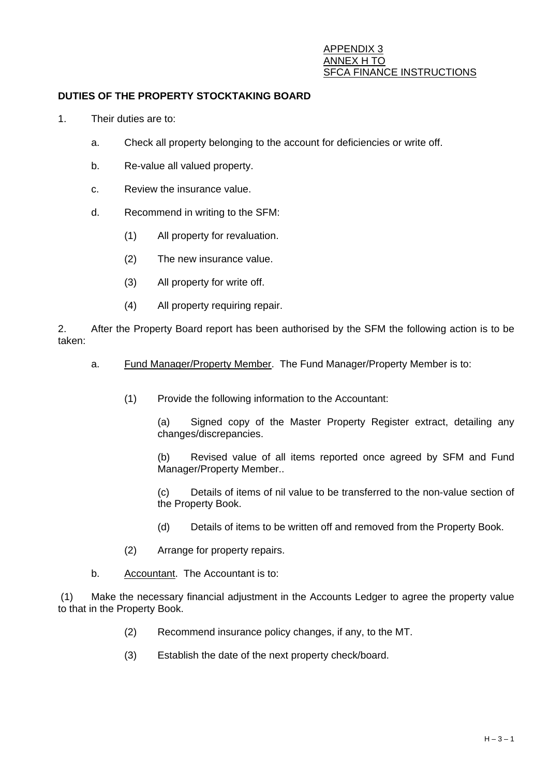#### APPENDIX 3 ANNEX H TO SFCA FINANCE INSTRUCTIONS

#### **DUTIES OF THE PROPERTY STOCKTAKING BOARD**

- 1. Their duties are to:
	- a. Check all property belonging to the account for deficiencies or write off.
	- b. Re-value all valued property.
	- c. Review the insurance value.
	- d. Recommend in writing to the SFM:
		- (1) All property for revaluation.
		- (2) The new insurance value.
		- (3) All property for write off.
		- (4) All property requiring repair.

2. After the Property Board report has been authorised by the SFM the following action is to be taken:

- a. Fund Manager/Property Member. The Fund Manager/Property Member is to:
	- (1) Provide the following information to the Accountant:

(a) Signed copy of the Master Property Register extract, detailing any changes/discrepancies.

(b) Revised value of all items reported once agreed by SFM and Fund Manager/Property Member..

(c) Details of items of nil value to be transferred to the non-value section of the Property Book.

- (d) Details of items to be written off and removed from the Property Book.
- (2) Arrange for property repairs.
- b. Accountant. The Accountant is to:

(1) Make the necessary financial adjustment in the Accounts Ledger to agree the property value to that in the Property Book.

- (2) Recommend insurance policy changes, if any, to the MT.
- (3) Establish the date of the next property check/board.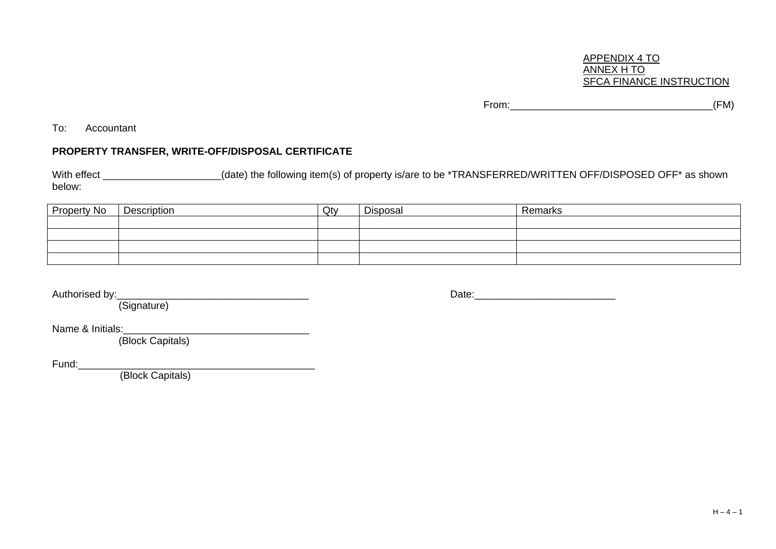| <b>APPENDIX 4 TO</b>            |
|---------------------------------|
| ANNEX H TO                      |
| <b>SFCA FINANCE INSTRUCTION</b> |

From:\_\_\_\_\_\_\_\_\_\_\_\_\_\_\_\_\_\_\_\_\_\_\_\_\_\_\_\_\_\_\_\_\_\_\_\_(FM)

To: Accountant

#### **PROPERTY TRANSFER, WRITE-OFF/DISPOSAL CERTIFICATE**

With effect \_\_\_\_\_\_\_\_\_\_\_\_\_\_\_\_\_\_(date) the following item(s) of property is/are to be \*TRANSFERRED/WRITTEN OFF/DISPOSED OFF\* as shown below:

| Property No | Description | Qty | Disposal | Remarks |
|-------------|-------------|-----|----------|---------|
|             |             |     |          |         |
|             |             |     |          |         |
|             |             |     |          |         |
|             |             |     |          |         |

(Signature)

Name & Initials:

(Block Capitals)

Fund:\_\_\_\_\_\_\_\_\_\_\_\_\_\_\_\_\_\_\_\_\_\_\_\_\_\_\_\_\_\_\_\_\_\_\_\_\_\_\_\_\_\_

(Block Capitals)

Authorised by:\_\_\_\_\_\_\_\_\_\_\_\_\_\_\_\_\_\_\_\_\_\_\_\_\_\_\_\_\_\_\_\_\_\_ Date:\_\_\_\_\_\_\_\_\_\_\_\_\_\_\_\_\_\_\_\_\_\_\_\_\_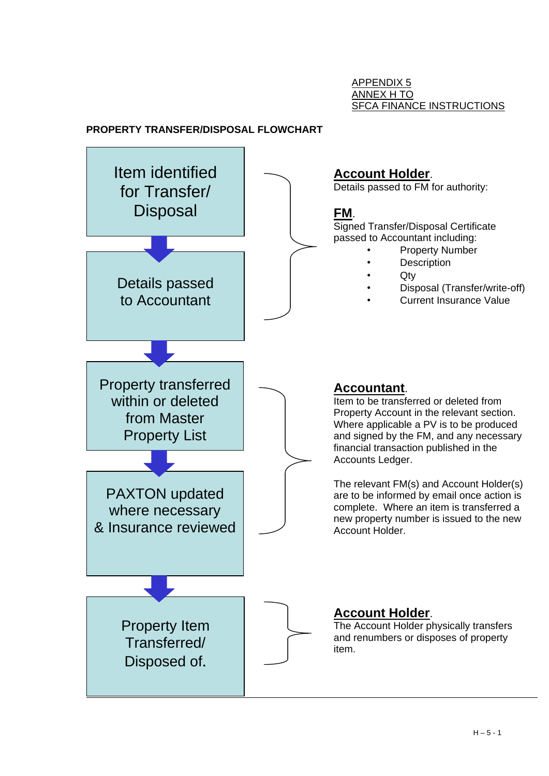#### APPENDIX 5 ANNEX H TO SFCA FINANCE INSTRUCTIONS

#### **PROPERTY TRANSFER/DISPOSAL FLOWCHART**